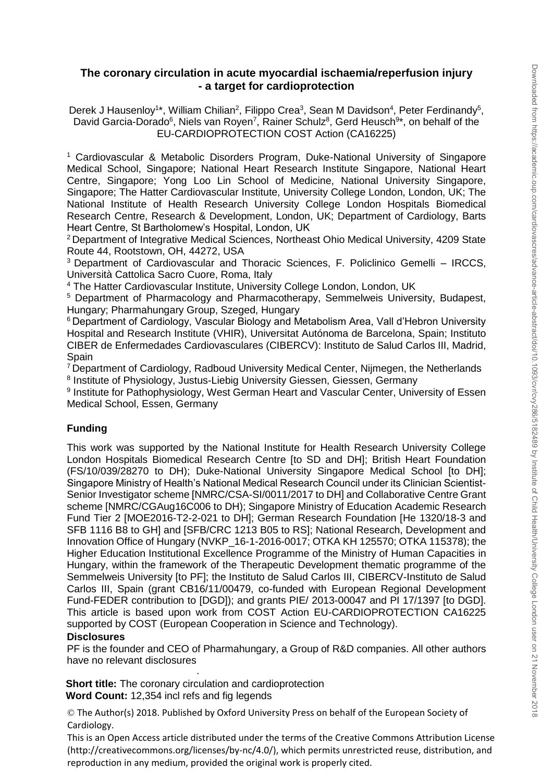### **The coronary circulation in acute myocardial ischaemia/reperfusion injury - a target for cardioprotection**

Derek J Hausenloy<sup>1\*</sup>, William Chilian<sup>2</sup>, Filippo Crea<sup>3</sup>, Sean M Davidson<sup>4</sup>, Peter Ferdinandy<sup>5</sup>, David Garcia-Dorado<sup>6</sup>, Niels van Royen<sup>7</sup>, Rainer Schulz<sup>8</sup>, Gerd Heusch<sup>9\*</sup>, on behalf of the EU-CARDIOPROTECTION COST Action (CA16225)

<sup>1</sup> Cardiovascular & Metabolic Disorders Program, Duke-National University of Singapore Medical School, Singapore; National Heart Research Institute Singapore, National Heart Centre, Singapore; Yong Loo Lin School of Medicine, National University Singapore, Singapore; The Hatter Cardiovascular Institute, University College London, London, UK; The National Institute of Health Research University College London Hospitals Biomedical Research Centre, Research & Development, London, UK; Department of Cardiology, Barts Heart Centre, St Bartholomew's Hospital, London, UK

<sup>2</sup> Department of Integrative Medical Sciences, Northeast Ohio Medical University, 4209 State Route 44, Rootstown, OH, 44272, USA

<sup>3</sup> Department of Cardiovascular and Thoracic Sciences, F. Policlinico Gemelli – IRCCS, Università Cattolica Sacro Cuore, Roma, Italy

<sup>4</sup> The Hatter Cardiovascular Institute, University College London, London, UK

<sup>5</sup> Department of Pharmacology and Pharmacotherapy, Semmelweis University, Budapest, Hungary; Pharmahungary Group, Szeged, Hungary

<sup>6</sup> Department of Cardiology, Vascular Biology and Metabolism Area, Vall d'Hebron University Hospital and Research Institute (VHIR), Universitat Autónoma de Barcelona, Spain; Instituto CIBER de Enfermedades Cardiovasculares (CIBERCV): Instituto de Salud Carlos III, Madrid, Spain

<sup>7</sup> Department of Cardiology, Radboud University Medical Center, Nijmegen, the Netherlands <sup>8</sup> Institute of Physiology, Justus-Liebig University Giessen, Giessen, Germany

<sup>9</sup> Institute for Pathophysiology, West German Heart and Vascular Center, University of Essen Medical School, Essen, Germany

### **Funding**

This work was supported by the National Institute for Health Research University College London Hospitals Biomedical Research Centre [to SD and DH]; British Heart Foundation (FS/10/039/28270 to DH); Duke-National University Singapore Medical School [to DH]; Singapore Ministry of Health's National Medical Research Council under its Clinician Scientist-Senior Investigator scheme [NMRC/CSA-SI/0011/2017 to DH] and Collaborative Centre Grant scheme [NMRC/CGAug16C006 to DH); Singapore Ministry of Education Academic Research Fund Tier 2 [MOE2016-T2-2-021 to DH]; German Research Foundation [He 1320/18-3 and SFB 1116 B8 to GH] and [SFB/CRC 1213 B05 to RS]; National Research, Development and Innovation Office of Hungary (NVKP\_16-1-2016-0017; OTKA KH 125570; OTKA 115378); the Higher Education Institutional Excellence Programme of the Ministry of Human Capacities in Hungary, within the framework of the Therapeutic Development thematic programme of the Semmelweis University [to PF]; the Instituto de Salud Carlos III, CIBERCV-Instituto de Salud Carlos III, Spain (grant CB16/11/00479, co-funded with European Regional Development Fund-FEDER contribution to [DGD]); and grants PIE/ 2013-00047 and PI 17/1397 [to DGD]. This article is based upon work from COST Action EU-CARDIOPROTECTION CA16225 supported by COST (European Cooperation in Science and Technology).

#### **Disclosures**

PF is the founder and CEO of Pharmahungary, a Group of R&D companies. All other authors have no relevant disclosures .

**Short title:** The coronary circulation and cardioprotection **Word Count:** 12,354 incl refs and fig legends

© The Author(s) 2018. Published by Oxford University Press on behalf of the European Society of Cardiology.

This is an Open Access article distributed under the terms of the Creative Commons Attribution License (http://creativecommons.org/licenses/by‐nc/4.0/), which permits unrestricted reuse, distribution, and reproduction in any medium, provided the original work is properly cited.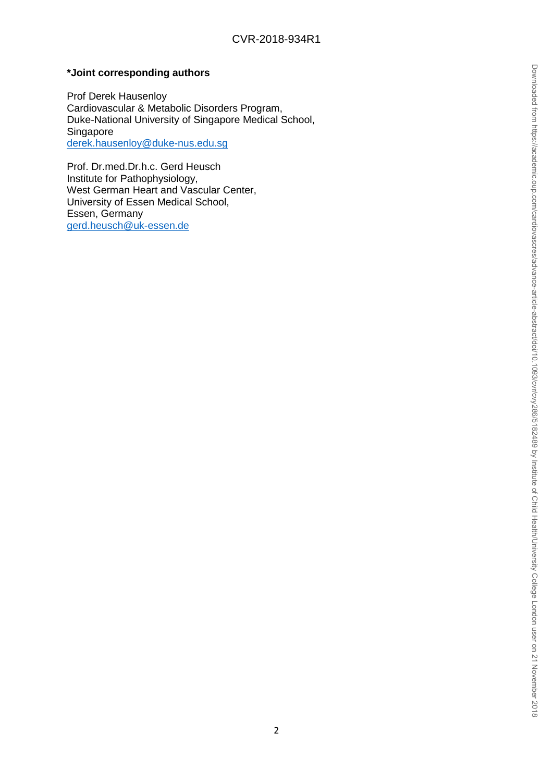# **\*Joint corresponding authors**

Prof Derek Hausenloy Cardiovascular & Metabolic Disorders Program, Duke -National University of Singapore Medical School, Singapore [derek.hausenloy@duke](mailto:derek.hausenloy@duke-nus.edu.sg) -nus.edu.sg

Prof . Dr.med.Dr.h.c. Gerd Heusch Institute for Pathophysiology, West German Heart and Vascular Center, University of Essen Medical School, Essen, Germany [gerd.heusch@uk](mailto:gerd.heusch@uk-essen.de) -essen.de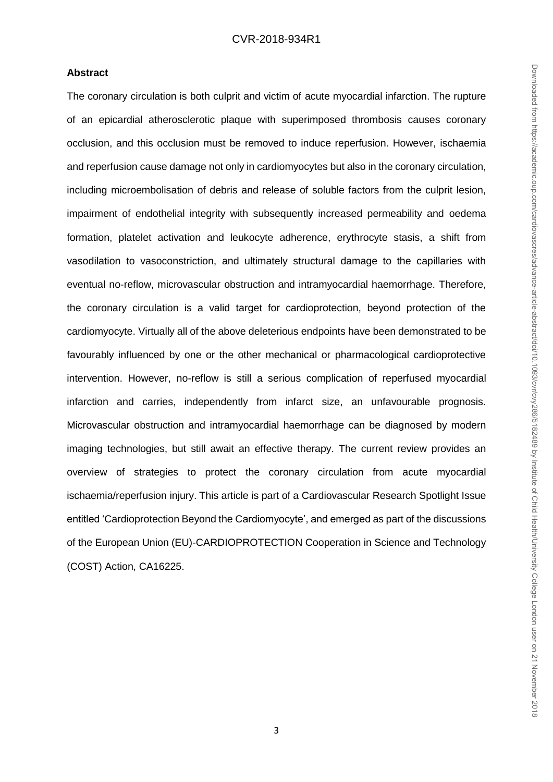### **Abstract**

The coronary circulation is both culprit and victim of acute myocardial infarction. The rupture of an epicardial atherosclerotic plaque with superimposed thrombosis causes coronary occlusion, and this occlusion must be removed to induce reperfusion. However, ischaemia and reperfusion cause damage not only in cardiomyocytes but also in the coronary circulation, including microembolisation of debris and release of soluble factors from the culprit lesion, impairment of endothelial integrity with subsequently increased permeability and oedema formation, platelet activation and leukocyte adherence, erythrocyte stasis, a shift from vasodilation to vasoconstriction, and ultimately structural damage to the capillaries with eventual no-reflow, microvascular obstruction and intramyocardial haemorrhage. Therefore, the coronary circulation is a valid target for cardioprotection, beyond protection of the cardiomyocyte. Virtually all of the above deleterious endpoints have been demonstrated to be favourably influenced by one or the other mechanical or pharmacological cardioprotective intervention. However, no-reflow is still a serious complication of reperfused myocardial infarction and carries, independently from infarct size, an unfavourable prognosis. Microvascular obstruction and intramyocardial haemorrhage can be diagnosed by modern imaging technologies, but still await an effective therapy. The current review provides an overview of strategies to protect the coronary circulation from acute myocardial ischaemia/reperfusion injury. This article is part of a Cardiovascular Research Spotlight Issue entitled 'Cardioprotection Beyond the Cardiomyocyte', and emerged as part of the discussions of the European Union (EU)-CARDIOPROTECTION Cooperation in Science and Technology (COST) Action, CA16225.

3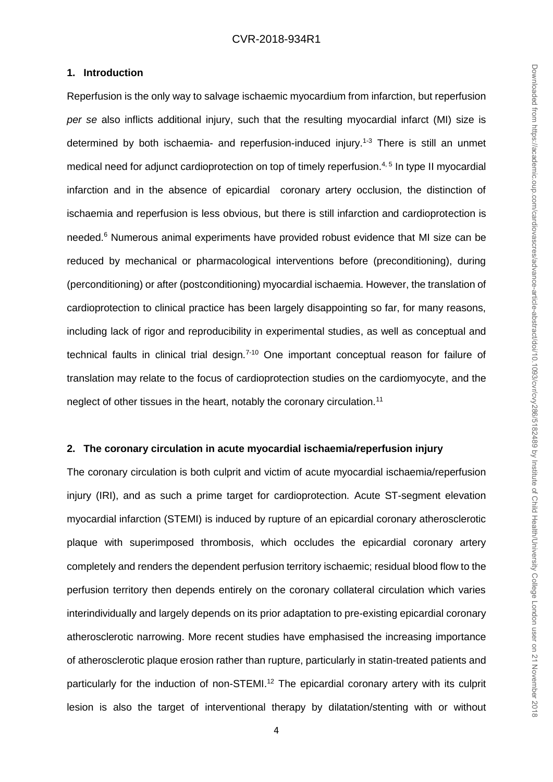### **1. Introduction**

Reperfusion is the only way to salvage ischaemic myocardium from infarction, but reperfusion *per se* also inflicts additional injury, such that the resulting myocardial infarct (MI) size is determined by both ischaemia- and reperfusion-induced injury.<sup>1-3</sup> There is still an unmet medical need for adjunct cardioprotection on top of timely reperfusion.<sup>4,5</sup> In type II myocardial infarction and in the absence of epicardial coronary artery occlusion, the distinction of ischaemia and reperfusion is less obvious, but there is still infarction and cardioprotection is needed. <sup>6</sup> Numerous animal experiments have provided robust evidence that MI size can be reduced by mechanical or pharmacological interventions before (preconditioning), during (perconditioning) or after (postconditioning) myocardial ischaemia. However, the translation of cardioprotection to clinical practice has been largely disappointing so far, for many reasons, including lack of rigor and reproducibility in experimental studies, as well as conceptual and technical faults in clinical trial design.<sup>7-10</sup> One important conceptual reason for failure of translation may relate to the focus of cardioprotection studies on the cardiomyocyte, and the neglect of other tissues in the heart, notably the coronary circulation.<sup>11</sup>

#### **2. The coronary circulation in acute myocardial ischaemia/reperfusion injury**

The coronary circulation is both culprit and victim of acute myocardial ischaemia/reperfusion injury (IRI), and as such a prime target for cardioprotection. Acute ST-segment elevation myocardial infarction (STEMI) is induced by rupture of an epicardial coronary atherosclerotic plaque with superimposed thrombosis, which occludes the epicardial coronary artery completely and renders the dependent perfusion territory ischaemic; residual blood flow to the perfusion territory then depends entirely on the coronary collateral circulation which varies interindividually and largely depends on its prior adaptation to pre-existing epicardial coronary atherosclerotic narrowing. More recent studies have emphasised the increasing importance of atherosclerotic plaque erosion rather than rupture, particularly in statin-treated patients and particularly for the induction of non-STEMI.<sup>12</sup> The epicardial coronary artery with its culprit lesion is also the target of interventional therapy by dilatation/stenting with or without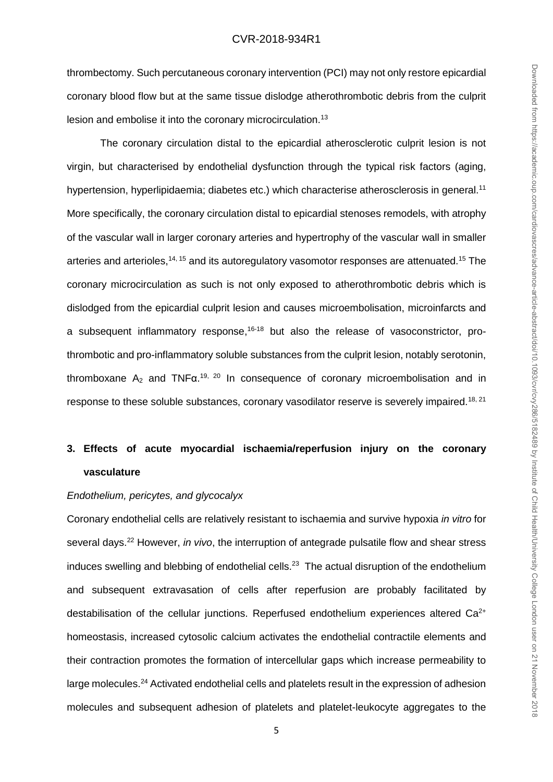thrombectomy. Such percutaneous coronary intervention (PCI) may not only restore epicardial coronary blood flow but at the same tissue dislodge atherothrombotic debris from the culprit lesion and embolise it into the coronary microcirculation.<sup>13</sup>

The coronary circulation distal to the epicardial atherosclerotic culprit lesion is not virgin, but characterised by endothelial dysfunction through the typical risk factors (aging, hypertension, hyperlipidaemia; diabetes etc.) which characterise atherosclerosis in general.<sup>11</sup> More specifically, the coronary circulation distal to epicardial stenoses remodels, with atrophy of the vascular wall in larger coronary arteries and hypertrophy of the vascular wall in smaller arteries and arterioles.<sup>14, 15</sup> and its autoregulatory vasomotor responses are attenuated.<sup>15</sup> The coronary microcirculation as such is not only exposed to atherothrombotic debris which is dislodged from the epicardial culprit lesion and causes microembolisation, microinfarcts and a subsequent inflammatory response,<sup>16-18</sup> but also the release of vasoconstrictor, prothrombotic and pro-inflammatory soluble substances from the culprit lesion, notably serotonin, thromboxane  $A_2$  and TNF $\alpha$ .<sup>19, 20</sup> In consequence of coronary microembolisation and in response to these soluble substances, coronary vasodilator reserve is severely impaired.<sup>18, 21</sup>

# **3. Effects of acute myocardial ischaemia/reperfusion injury on the coronary vasculature**

### *Endothelium, pericytes, and glycocalyx*

Coronary endothelial cells are relatively resistant to ischaemia and survive hypoxia *in vitro* for several days.<sup>22</sup> However, *in vivo*, the interruption of antegrade pulsatile flow and shear stress induces swelling and blebbing of endothelial cells.<sup>23</sup> The actual disruption of the endothelium and subsequent extravasation of cells after reperfusion are probably facilitated by destabilisation of the cellular junctions. Reperfused endothelium experiences altered  $Ca<sup>2+</sup>$ homeostasis, increased cytosolic calcium activates the endothelial contractile elements and their contraction promotes the formation of intercellular gaps which increase permeability to large molecules.<sup>24</sup> Activated endothelial cells and platelets result in the expression of adhesion molecules and subsequent adhesion of platelets and platelet-leukocyte aggregates to the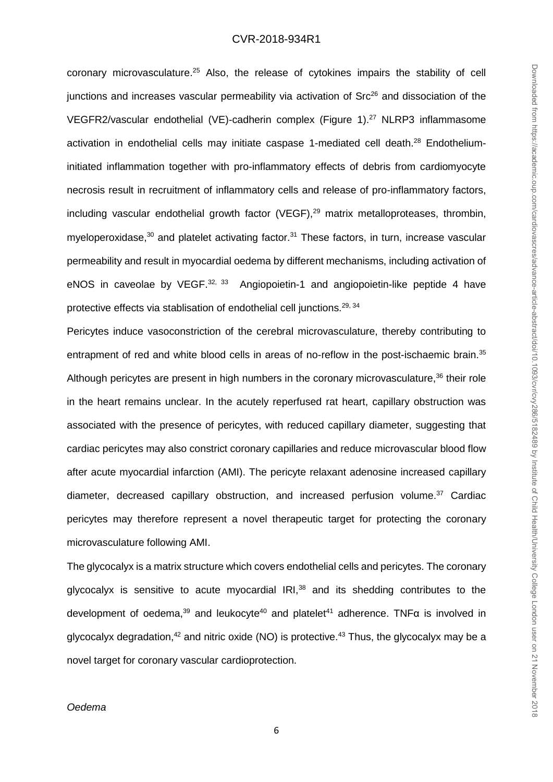coronary microvasculature.<sup>25</sup> Also, the release of cytokines impairs the stability of cell junctions and increases vascular permeability via activation of  $Src^{26}$  and dissociation of the VEGFR2/vascular endothelial (VE)-cadherin complex (Figure 1).<sup>27</sup> NLRP3 inflammasome activation in endothelial cells may initiate caspase 1-mediated cell death.<sup>28</sup> Endotheliuminitiated inflammation together with pro-inflammatory effects of debris from cardiomyocyte necrosis result in recruitment of inflammatory cells and release of pro-inflammatory factors, including vascular endothelial growth factor (VEGF),<sup>29</sup> matrix metalloproteases, thrombin, myeloperoxidase,<sup>30</sup> and platelet activating factor.<sup>31</sup> These factors, in turn, increase vascular permeability and result in myocardial oedema by different mechanisms, including activation of eNOS in caveolae by VEGF. $32, 33$  Angiopoietin-1 and angiopoietin-like peptide 4 have protective effects via stablisation of endothelial cell junctions.<sup>29, 34</sup>

Pericytes induce vasoconstriction of the cerebral microvasculature, thereby contributing to entrapment of red and white blood cells in areas of no-reflow in the post-ischaemic brain.<sup>35</sup> Although pericytes are present in high numbers in the coronary microvasculature,<sup>36</sup> their role in the heart remains unclear. In the acutely reperfused rat heart, capillary obstruction was associated with the presence of pericytes, with reduced capillary diameter, suggesting that cardiac pericytes may also constrict coronary capillaries and reduce microvascular blood flow after acute myocardial infarction (AMI). The pericyte relaxant adenosine increased capillary diameter, decreased capillary obstruction, and increased perfusion volume.<sup>37</sup> Cardiac pericytes may therefore represent a novel therapeutic target for protecting the coronary microvasculature following AMI.

The glycocalyx is a matrix structure which covers endothelial cells and pericytes. The coronary glycocalyx is sensitive to acute myocardial IRI,<sup>38</sup> and its shedding contributes to the development of oedema,<sup>39</sup> and leukocyte<sup>40</sup> and platelet<sup>41</sup> adherence. TNF $\alpha$  is involved in glycocalyx degradation, $42$  and nitric oxide (NO) is protective. $43$  Thus, the glycocalyx may be a novel target for coronary vascular cardioprotection.

#### *Oedema*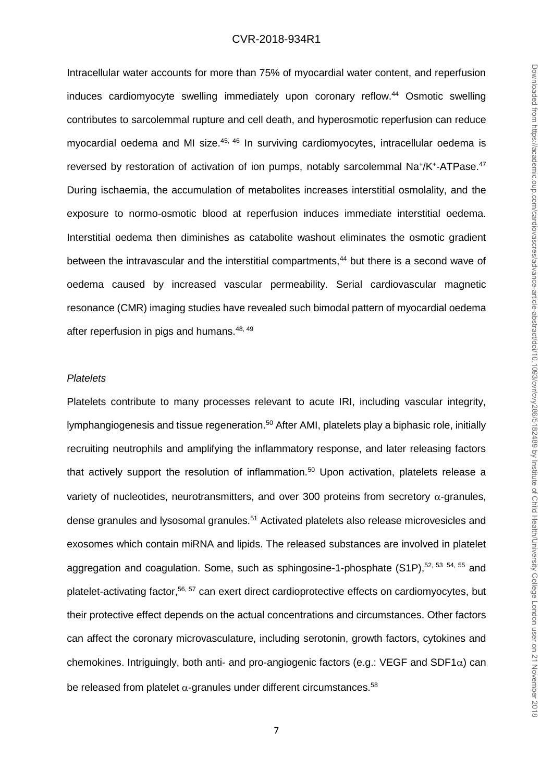Intracellular water accounts for more than 75% of myocardial water content, and reperfusion induces cardiomyocyte swelling immediately upon coronary reflow. <sup>44</sup> Osmotic swelling contributes to sarcolemmal rupture and cell death, and hyperosmotic reperfusion can reduce myocardial oedema and MI size.<sup>45, 46</sup> In surviving cardiomyocytes, intracellular oedema is reversed by restoration of activation of ion pumps, notably sarcolemmal Na+/K+-ATPase.<sup>47</sup> During ischaemia, the accumulation of metabolites increases interstitial osmolality, and the exposure to normo-osmotic blood at reperfusion induces immediate interstitial oedema. Interstitial oedema then diminishes as catabolite washout eliminates the osmotic gradient between the intravascular and the interstitial compartments,<sup>44</sup> but there is a second wave of oedema caused by increased vascular permeability. Serial cardiovascular magnetic resonance (CMR) imaging studies have revealed such bimodal pattern of myocardial oedema after reperfusion in pigs and humans.<sup>48, 49</sup>

### *Platelets*

Platelets contribute to many processes relevant to acute IRI, including vascular integrity, lymphangiogenesis and tissue regeneration.<sup>50</sup> After AMI, platelets play a biphasic role, initially recruiting neutrophils and amplifying the inflammatory response, and later releasing factors that actively support the resolution of inflammation.<sup>50</sup> Upon activation, platelets release a variety of nucleotides, neurotransmitters, and over 300 proteins from secretory  $\alpha$ -granules, dense granules and lysosomal granules.<sup>51</sup> Activated platelets also release microvesicles and exosomes which contain miRNA and lipids. The released substances are involved in platelet aggregation and coagulation. Some, such as sphingosine-1-phosphate (S1P),<sup>52, 53</sup> 54, 55 and platelet-activating factor,<sup>56, 57</sup> can exert direct cardioprotective effects on cardiomyocytes, but their protective effect depends on the actual concentrations and circumstances. Other factors can affect the coronary microvasculature, including serotonin, growth factors, cytokines and chemokines. Intriguingly, both anti- and pro-angiogenic factors (e.g.: VEGF and SDF1 $\alpha$ ) can be released from platelet  $\alpha$ -granules under different circumstances.<sup>58</sup>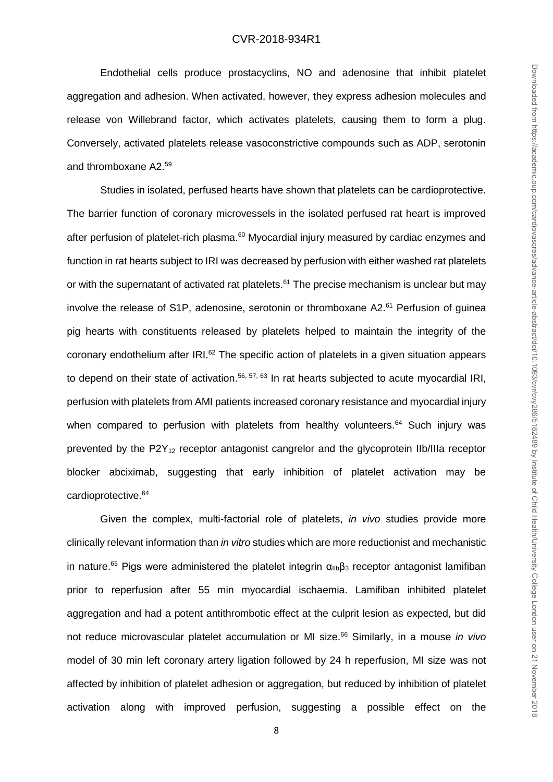Endothelial cells produce prostacyclins, NO and adenosine that inhibit platelet aggregation and adhesion. When activated, however, they express adhesion molecules and release von Willebrand factor, which activates platelets, causing them to form a plug. Conversely, activated platelets release vasoconstrictive compounds such as ADP, serotonin and thromboxane A2. 59

Studies in isolated, perfused hearts have shown that platelets can be cardioprotective. The barrier function of coronary microvessels in the isolated perfused rat heart is improved after perfusion of platelet-rich plasma.<sup>60</sup> Myocardial injury measured by cardiac enzymes and function in rat hearts subject to IRI was decreased by perfusion with either washed rat platelets or with the supernatant of activated rat platelets.<sup>61</sup> The precise mechanism is unclear but may involve the release of S1P, adenosine, serotonin or thromboxane A2.<sup>61</sup> Perfusion of guinea pig hearts with constituents released by platelets helped to maintain the integrity of the coronary endothelium after IRI.<sup>62</sup> The specific action of platelets in a given situation appears to depend on their state of activation.<sup>56, 57, 63</sup> In rat hearts subjected to acute myocardial IRI, perfusion with platelets from AMI patients increased coronary resistance and myocardial injury when compared to perfusion with platelets from healthy volunteers.<sup>64</sup> Such injury was prevented by the  $P2Y_{12}$  receptor antagonist cangrelor and the glycoprotein IIb/IIIa receptor blocker abciximab, suggesting that early inhibition of platelet activation may be cardioprotective. 64

Given the complex, multi-factorial role of platelets, *in vivo* studies provide more clinically relevant information than *in vitro* studies which are more reductionist and mechanistic in nature.<sup>65</sup> Pigs were administered the platelet integrin  $\alpha_{11b}\beta_3$  receptor antagonist lamifiban prior to reperfusion after 55 min myocardial ischaemia. Lamifiban inhibited platelet aggregation and had a potent antithrombotic effect at the culprit lesion as expected, but did not reduce microvascular platelet accumulation or MI size. <sup>66</sup> Similarly, in a mouse *in vivo* model of 30 min left coronary artery ligation followed by 24 h reperfusion, MI size was not affected by inhibition of platelet adhesion or aggregation, but reduced by inhibition of platelet activation along with improved perfusion, suggesting a possible effect on the

8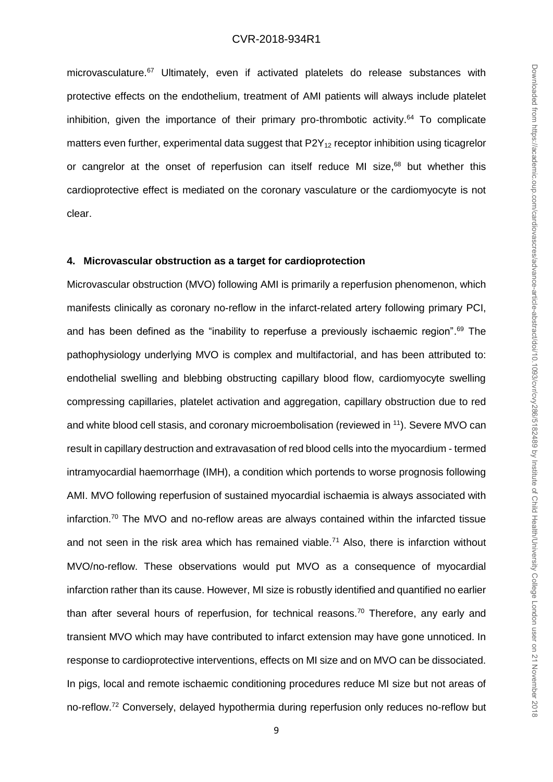microvasculature. <sup>67</sup> Ultimately, even if activated platelets do release substances with protective effects on the endothelium, treatment of AMI patients will always include platelet inhibition, given the importance of their primary pro-thrombotic activity.<sup>64</sup> To complicate matters even further, experimental data suggest that  $P2Y_{12}$  receptor inhibition using ticagrelor or cangrelor at the onset of reperfusion can itself reduce MI size, $68$  but whether this cardioprotective effect is mediated on the coronary vasculature or the cardiomyocyte is not clear.

# **4. Microvascular obstruction as a target for cardioprotection**

Microvascular obstruction (MVO) following AMI is primarily a reperfusion phenomenon, which manifests clinically as coronary no-reflow in the infarct-related artery following primary PCI, and has been defined as the "inability to reperfuse a previously ischaemic region". <sup>69</sup> The pathophysiology underlying MVO is complex and multifactorial, and has been attributed to: endothelial swelling and blebbing obstructing capillary blood flow, cardiomyocyte swelling compressing capillaries, platelet activation and aggregation, capillary obstruction due to red and white blood cell stasis, and coronary microembolisation (reviewed in <sup>11</sup>). Severe MVO can result in capillary destruction and extravasation of red blood cells into the myocardium - termed intramyocardial haemorrhage (IMH), a condition which portends to worse prognosis following AMI. MVO following reperfusion of sustained myocardial ischaemia is always associated with infarction.<sup>70</sup> The MVO and no-reflow areas are always contained within the infarcted tissue and not seen in the risk area which has remained viable.<sup>71</sup> Also, there is infarction without MVO/no-reflow. These observations would put MVO as a consequence of myocardial infarction rather than its cause. However, MI size is robustly identified and quantified no earlier than after several hours of reperfusion, for technical reasons.<sup>70</sup> Therefore, any early and transient MVO which may have contributed to infarct extension may have gone unnoticed. In response to cardioprotective interventions, effects on MI size and on MVO can be dissociated. In pigs, local and remote ischaemic conditioning procedures reduce MI size but not areas of no-reflow.<sup>72</sup> Conversely, delayed hypothermia during reperfusion only reduces no-reflow but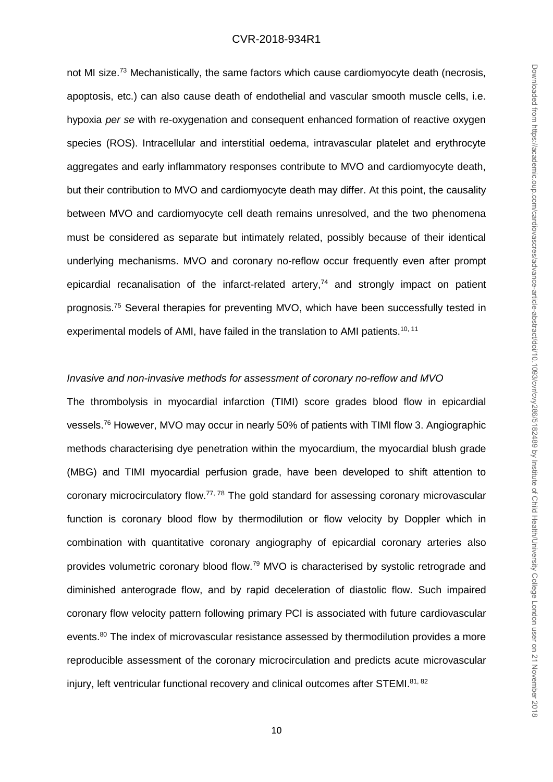not MI size.<sup>73</sup> Mechanistically, the same factors which cause cardiomyocyte death (necrosis, apoptosis, etc.) can also cause death of endothelial and vascular smooth muscle cells, i.e. hypoxia *per se* with re-oxygenation and consequent enhanced formation of reactive oxygen species (ROS). Intracellular and interstitial oedema, intravascular platelet and erythrocyte aggregates and early inflammatory responses contribute to MVO and cardiomyocyte death, but their contribution to MVO and cardiomyocyte death may differ. At this point, the causality between MVO and cardiomyocyte cell death remains unresolved, and the two phenomena must be considered as separate but intimately related, possibly because of their identical underlying mechanisms. MVO and coronary no-reflow occur frequently even after prompt epicardial recanalisation of the infarct-related artery,<sup>74</sup> and strongly impact on patient prognosis.<sup>75</sup> Several therapies for preventing MVO, which have been successfully tested in experimental models of AMI, have failed in the translation to AMI patients.<sup>10, 11</sup>

### *Invasive and non-invasive methods for assessment of coronary no-reflow and MVO*

The thrombolysis in myocardial infarction (TIMI) score grades blood flow in epicardial vessels.<sup>76</sup> However, MVO may occur in nearly 50% of patients with TIMI flow 3. Angiographic methods characterising dye penetration within the myocardium, the myocardial blush grade (MBG) and TIMI myocardial perfusion grade, have been developed to shift attention to coronary microcirculatory flow.<sup>77, 78</sup> The gold standard for assessing coronary microvascular function is coronary blood flow by thermodilution or flow velocity by Doppler which in combination with quantitative coronary angiography of epicardial coronary arteries also provides volumetric coronary blood flow.<sup>79</sup> MVO is characterised by systolic retrograde and diminished anterograde flow, and by rapid deceleration of diastolic flow. Such impaired coronary flow velocity pattern following primary PCI is associated with future cardiovascular events.<sup>80</sup> The index of microvascular resistance assessed by thermodilution provides a more reproducible assessment of the coronary microcirculation and predicts acute microvascular injury, left ventricular functional recovery and clinical outcomes after STEMI.<sup>81, 82</sup>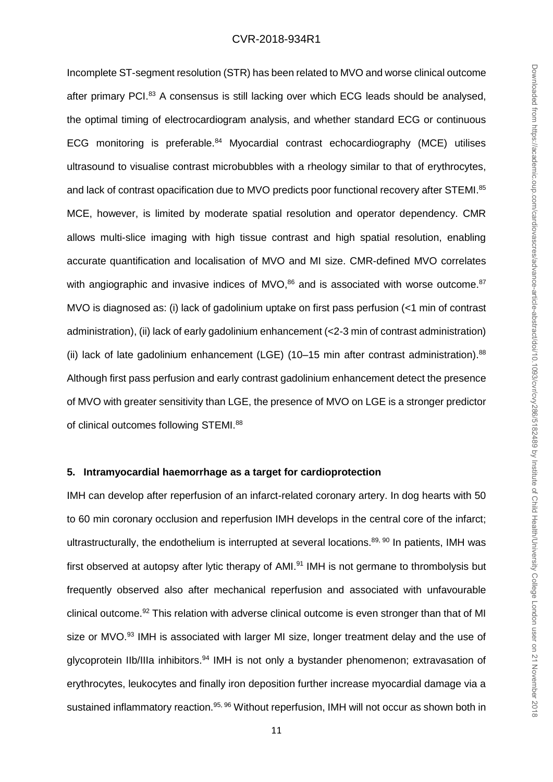Incomplete ST-segment resolution (STR) has been related to MVO and worse clinical outcome after primary PCI.<sup>83</sup> A consensus is still lacking over which ECG leads should be analysed, the optimal timing of electrocardiogram analysis, and whether standard ECG or continuous ECG monitoring is preferable.<sup>84</sup> Myocardial contrast echocardiography (MCE) utilises ultrasound to visualise contrast microbubbles with a rheology similar to that of erythrocytes, and lack of contrast opacification due to MVO predicts poor functional recovery after STEMI.<sup>85</sup> MCE, however, is limited by moderate spatial resolution and operator dependency. CMR allows multi-slice imaging with high tissue contrast and high spatial resolution, enabling accurate quantification and localisation of MVO and MI size. CMR-defined MVO correlates with angiographic and invasive indices of MVO,<sup>86</sup> and is associated with worse outcome.<sup>87</sup> MVO is diagnosed as: (i) lack of gadolinium uptake on first pass perfusion (<1 min of contrast administration), (ii) lack of early gadolinium enhancement (<2-3 min of contrast administration) (ii) lack of late gadolinium enhancement (LGE) (10-15 min after contrast administration). $88$ Although first pass perfusion and early contrast gadolinium enhancement detect the presence of MVO with greater sensitivity than LGE, the presence of MVO on LGE is a stronger predictor of clinical outcomes following STEMI.<sup>88</sup>

### **5. Intramyocardial haemorrhage as a target for cardioprotection**

IMH can develop after reperfusion of an infarct-related coronary artery. In dog hearts with 50 to 60 min coronary occlusion and reperfusion IMH develops in the central core of the infarct; ultrastructurally, the endothelium is interrupted at several locations.<sup>89, 90</sup> In patients, IMH was first observed at autopsy after lytic therapy of AMI.<sup>91</sup> IMH is not germane to thrombolysis but frequently observed also after mechanical reperfusion and associated with unfavourable clinical outcome.<sup>92</sup> This relation with adverse clinical outcome is even stronger than that of MI size or MVO.<sup>93</sup> IMH is associated with larger MI size, longer treatment delay and the use of glycoprotein IIb/IIIa inhibitors.<sup>94</sup> IMH is not only a bystander phenomenon; extravasation of erythrocytes, leukocytes and finally iron deposition further increase myocardial damage via a sustained inflammatory reaction.<sup>95, 96</sup> Without reperfusion, IMH will not occur as shown both in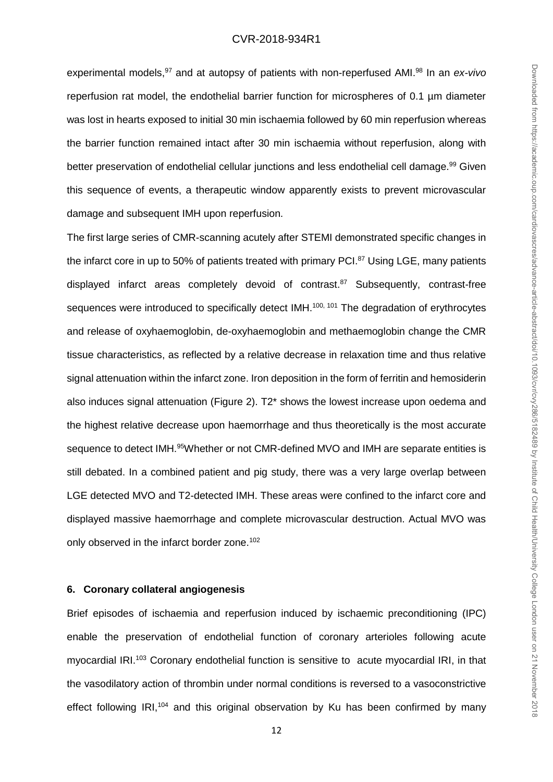experimental models, <sup>97</sup> and at autopsy of patients with non-reperfused AMI. <sup>98</sup> In an *ex-vivo* reperfusion rat model, the endothelial barrier function for microspheres of 0.1 µm diameter was lost in hearts exposed to initial 30 min ischaemia followed by 60 min reperfusion whereas the barrier function remained intact after 30 min ischaemia without reperfusion, along with better preservation of endothelial cellular junctions and less endothelial cell damage.<sup>99</sup> Given this sequence of events, a therapeutic window apparently exists to prevent microvascular damage and subsequent IMH upon reperfusion.

The first large series of CMR-scanning acutely after STEMI demonstrated specific changes in the infarct core in up to 50% of patients treated with primary PCI.<sup>87</sup> Using LGE, many patients displayed infarct areas completely devoid of contrast. <sup>87</sup> Subsequently, contrast-free sequences were introduced to specifically detect IMH.<sup>100, 101</sup> The degradation of erythrocytes and release of oxyhaemoglobin, de-oxyhaemoglobin and methaemoglobin change the CMR tissue characteristics, as reflected by a relative decrease in relaxation time and thus relative signal attenuation within the infarct zone. Iron deposition in the form of ferritin and hemosiderin also induces signal attenuation (Figure 2). T2\* shows the lowest increase upon oedema and the highest relative decrease upon haemorrhage and thus theoretically is the most accurate sequence to detect IMH.<sup>95</sup>Whether or not CMR-defined MVO and IMH are separate entities is still debated. In a combined patient and pig study, there was a very large overlap between LGE detected MVO and T2-detected IMH. These areas were confined to the infarct core and displayed massive haemorrhage and complete microvascular destruction. Actual MVO was only observed in the infarct border zone.<sup>102</sup>

#### **6. Coronary collateral angiogenesis**

Brief episodes of ischaemia and reperfusion induced by ischaemic preconditioning (IPC) enable the preservation of endothelial function of coronary arterioles following acute myocardial IRI.<sup>103</sup> Coronary endothelial function is sensitive to acute myocardial IRI, in that the vasodilatory action of thrombin under normal conditions is reversed to a vasoconstrictive effect following IRI,<sup>104</sup> and this original observation by Ku has been confirmed by many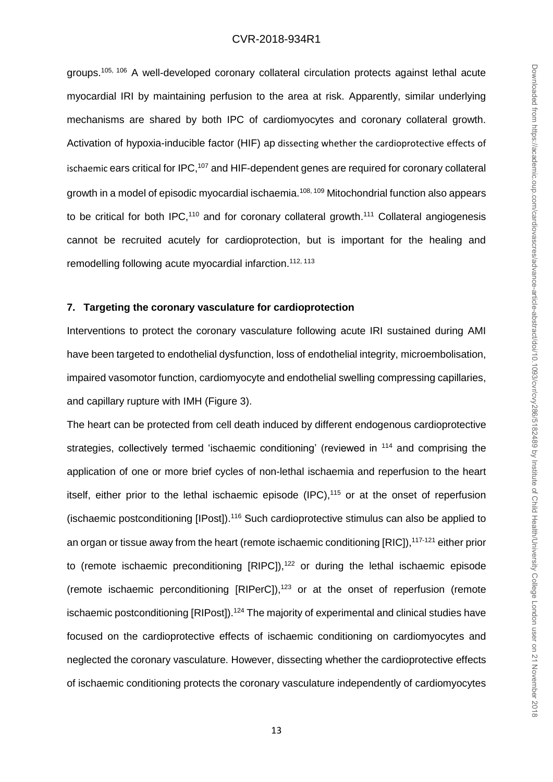groups.<sup>105, 106</sup> A well-developed coronary collateral circulation protects against lethal acute myocardial IRI by maintaining perfusion to the area at risk. Apparently, similar underlying mechanisms are shared by both IPC of cardiomyocytes and coronary collateral growth. Activation of hypoxia-inducible factor (HIF) ap dissecting whether the cardioprotective effects of ischaemic ears critical for IPC,<sup>107</sup> and HIF-dependent genes are required for coronary collateral growth in a model of episodic myocardial ischaemia.<sup>108, 109</sup> Mitochondrial function also appears to be critical for both IPC,<sup>110</sup> and for coronary collateral growth.<sup>111</sup> Collateral angiogenesis cannot be recruited acutely for cardioprotection, but is important for the healing and remodelling following acute myocardial infarction.<sup>112, 113</sup>

#### **7. Targeting the coronary vasculature for cardioprotection**

Interventions to protect the coronary vasculature following acute IRI sustained during AMI have been targeted to endothelial dysfunction, loss of endothelial integrity, microembolisation, impaired vasomotor function, cardiomyocyte and endothelial swelling compressing capillaries, and capillary rupture with IMH (Figure 3).

The heart can be protected from cell death induced by different endogenous cardioprotective strategies, collectively termed 'ischaemic conditioning' (reviewed in <sup>114</sup> and comprising the application of one or more brief cycles of non-lethal ischaemia and reperfusion to the heart itself, either prior to the lethal ischaemic episode (IPC),<sup>115</sup> or at the onset of reperfusion (ischaemic postconditioning [IPost]). <sup>116</sup> Such cardioprotective stimulus can also be applied to an organ or tissue away from the heart (remote ischaemic conditioning [RIC]),<sup>117-121</sup> either prior to (remote ischaemic preconditioning [RIPC]), <sup>122</sup> or during the lethal ischaemic episode (remote ischaemic perconditioning [RIPerC]), <sup>123</sup> or at the onset of reperfusion (remote ischaemic postconditioning [RIPost]).<sup>124</sup> The majority of experimental and clinical studies have focused on the cardioprotective effects of ischaemic conditioning on cardiomyocytes and neglected the coronary vasculature. However, dissecting whether the cardioprotective effects of ischaemic conditioning protects the coronary vasculature independently of cardiomyocytes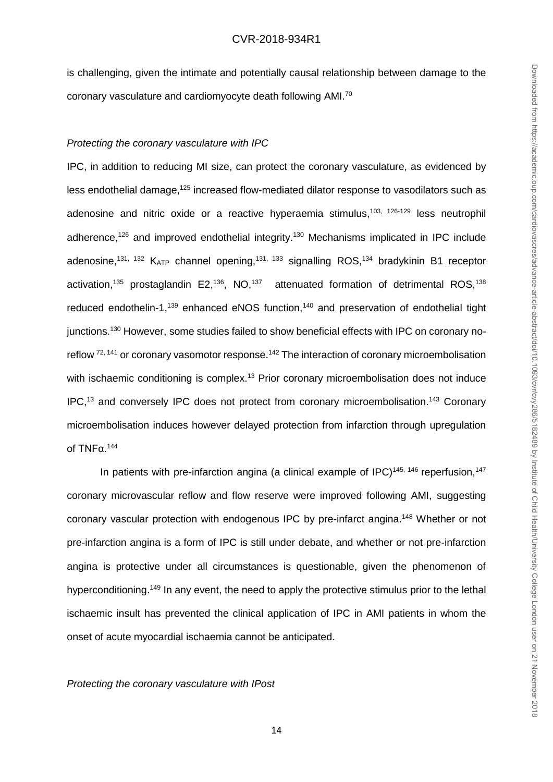is challenging, given the intimate and potentially causal relationship between damage to the coronary vasculature and cardiomyocyte death following AMI.<sup>70</sup>

#### *Protecting the coronary vasculature with IPC*

IPC, in addition to reducing MI size, can protect the coronary vasculature, as evidenced by less endothelial damage,<sup>125</sup> increased flow-mediated dilator response to vasodilators such as adenosine and nitric oxide or a reactive hyperaemia stimulus,<sup>103, 126-129</sup> less neutrophil adherence,<sup>126</sup> and improved endothelial integrity.<sup>130</sup> Mechanisms implicated in IPC include adenosine,<sup>131, 132</sup> K<sub>ATP</sub> channel opening,<sup>131, 133</sup> signalling ROS,<sup>134</sup> bradykinin B1 receptor activation,<sup>135</sup> prostaglandin E2,<sup>136</sup>, NO,<sup>137</sup> attenuated formation of detrimental ROS,<sup>138</sup> reduced endothelin-1,<sup>139</sup> enhanced eNOS function,<sup>140</sup> and preservation of endothelial tight junctions.<sup>130</sup> However, some studies failed to show beneficial effects with IPC on coronary noreflow <sup>72, 141</sup> or coronary vasomotor response.<sup>142</sup> The interaction of coronary microembolisation with ischaemic conditioning is complex.<sup>13</sup> Prior coronary microembolisation does not induce IPC,<sup>13</sup> and conversely IPC does not protect from coronary microembolisation.<sup>143</sup> Coronary microembolisation induces however delayed protection from infarction through upregulation of TNFα. 144

In patients with pre-infarction angina (a clinical example of IPC)<sup>145, 146</sup> reperfusion,<sup>147</sup> coronary microvascular reflow and flow reserve were improved following AMI, suggesting coronary vascular protection with endogenous IPC by pre-infarct angina. <sup>148</sup> Whether or not pre-infarction angina is a form of IPC is still under debate, and whether or not pre-infarction angina is protective under all circumstances is questionable, given the phenomenon of hyperconditioning.<sup>149</sup> In any event, the need to apply the protective stimulus prior to the lethal ischaemic insult has prevented the clinical application of IPC in AMI patients in whom the onset of acute myocardial ischaemia cannot be anticipated.

#### *Protecting the coronary vasculature with IPost*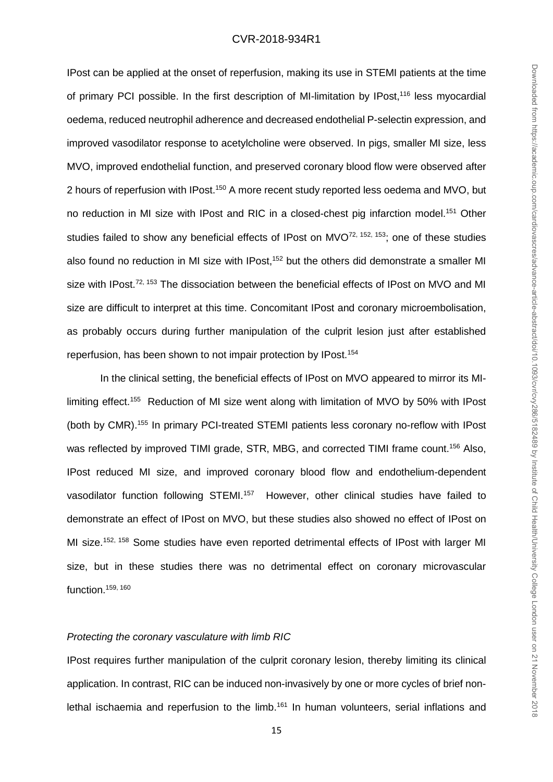IPost can be applied at the onset of reperfusion, making its use in STEMI patients at the time of primary PCI possible. In the first description of MI-limitation by IPost,<sup>116</sup> less myocardial oedema, reduced neutrophil adherence and decreased endothelial P-selectin expression, and improved vasodilator response to acetylcholine were observed. In pigs, smaller MI size, less MVO, improved endothelial function, and preserved coronary blood flow were observed after 2 hours of reperfusion with IPost.<sup>150</sup> A more recent study reported less oedema and MVO, but no reduction in MI size with IPost and RIC in a closed-chest pig infarction model.<sup>151</sup> Other studies failed to show any beneficial effects of IPost on  $MVO^{72, 152, 153}$ ; one of these studies also found no reduction in MI size with IPost,<sup>152</sup> but the others did demonstrate a smaller MI size with IPost.<sup>72, 153</sup> The dissociation between the beneficial effects of IPost on MVO and MI size are difficult to interpret at this time. Concomitant IPost and coronary microembolisation, as probably occurs during further manipulation of the culprit lesion just after established reperfusion, has been shown to not impair protection by IPost.<sup>154</sup>

In the clinical setting, the beneficial effects of IPost on MVO appeared to mirror its MIlimiting effect.<sup>155</sup> Reduction of MI size went along with limitation of MVO by 50% with IPost (both by CMR). <sup>155</sup> In primary PCI-treated STEMI patients less coronary no-reflow with IPost was reflected by improved TIMI grade, STR, MBG, and corrected TIMI frame count.<sup>156</sup> Also, IPost reduced MI size, and improved coronary blood flow and endothelium-dependent vasodilator function following STEMI.<sup>157</sup> However, other clinical studies have failed to demonstrate an effect of IPost on MVO, but these studies also showed no effect of IPost on MI size.<sup>152, 158</sup> Some studies have even reported detrimental effects of IPost with larger MI size, but in these studies there was no detrimental effect on coronary microvascular function.<sup>159, 160</sup>

#### *Protecting the coronary vasculature with limb RIC*

IPost requires further manipulation of the culprit coronary lesion, thereby limiting its clinical application. In contrast, RIC can be induced non-invasively by one or more cycles of brief nonlethal ischaemia and reperfusion to the limb.<sup>161</sup> In human volunteers, serial inflations and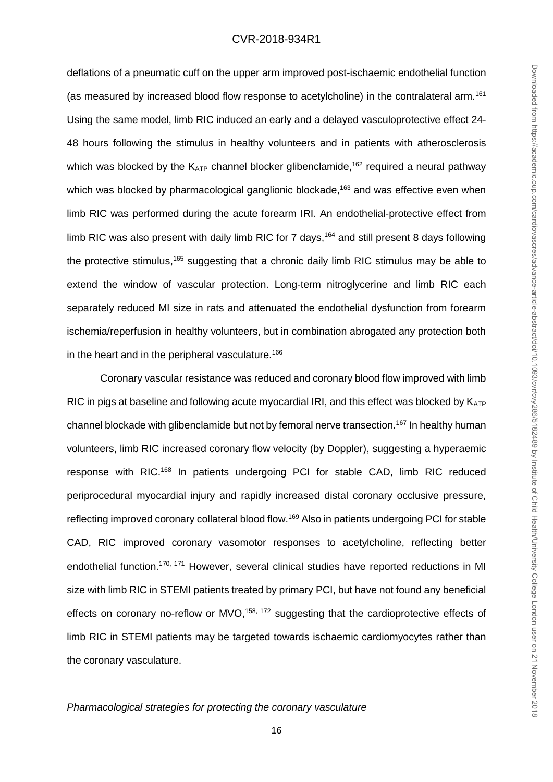deflations of a pneumatic cuff on the upper arm improved post-ischaemic endothelial function (as measured by increased blood flow response to acetylcholine) in the contralateral arm. 161 Using the same model, limb RIC induced an early and a delayed vasculoprotective effect 24- 48 hours following the stimulus in healthy volunteers and in patients with atherosclerosis which was blocked by the  $K_{ATP}$  channel blocker glibenclamide,<sup>162</sup> required a neural pathway which was blocked by pharmacological ganglionic blockade,<sup>163</sup> and was effective even when limb RIC was performed during the acute forearm IRI. An endothelial-protective effect from limb RIC was also present with daily limb RIC for 7 days,<sup>164</sup> and still present 8 days following the protective stimulus,<sup>165</sup> suggesting that a chronic daily limb RIC stimulus may be able to extend the window of vascular protection. Long-term nitroglycerine and limb RIC each separately reduced MI size in rats and attenuated the endothelial dysfunction from forearm ischemia/reperfusion in healthy volunteers, but in combination abrogated any protection both in the heart and in the peripheral vasculature. 166

Coronary vascular resistance was reduced and coronary blood flow improved with limb RIC in pigs at baseline and following acute myocardial IRI, and this effect was blocked by  $K_{ATP}$ channel blockade with glibenclamide but not by femoral nerve transection.<sup>167</sup> In healthy human volunteers, limb RIC increased coronary flow velocity (by Doppler), suggesting a hyperaemic response with RIC.<sup>168</sup> In patients undergoing PCI for stable CAD, limb RIC reduced periprocedural myocardial injury and rapidly increased distal coronary occlusive pressure, reflecting improved coronary collateral blood flow.<sup>169</sup> Also in patients undergoing PCI for stable CAD, RIC improved coronary vasomotor responses to acetylcholine, reflecting better endothelial function.<sup>170, 171</sup> However, several clinical studies have reported reductions in MI size with limb RIC in STEMI patients treated by primary PCI, but have not found any beneficial effects on coronary no-reflow or  $MVO$ ,<sup>158, 172</sup> suggesting that the cardioprotective effects of limb RIC in STEMI patients may be targeted towards ischaemic cardiomyocytes rather than the coronary vasculature.

*Pharmacological strategies for protecting the coronary vasculature*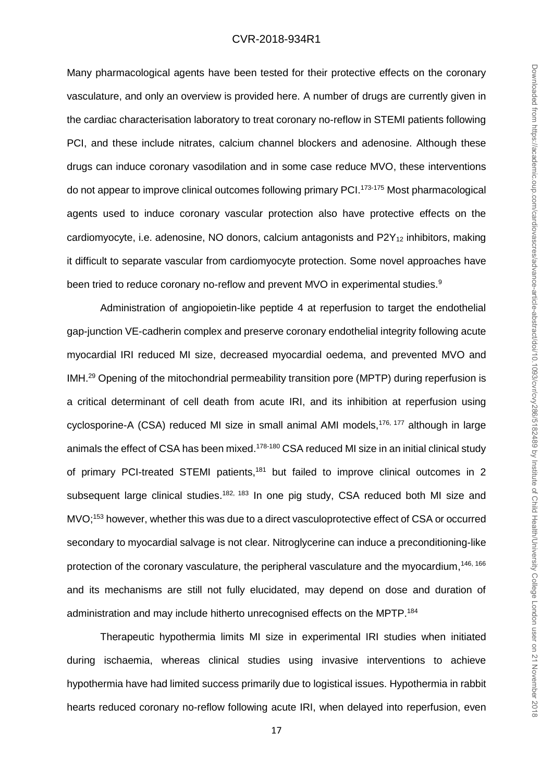Many pharmacological agents have been tested for their protective effects on the coronary vasculature, and only an overview is provided here. A number of drugs are currently given in the cardiac characterisation laboratory to treat coronary no-reflow in STEMI patients following PCI, and these include nitrates, calcium channel blockers and adenosine. Although these drugs can induce coronary vasodilation and in some case reduce MVO, these interventions do not appear to improve clinical outcomes following primary PCI.<sup>173-175</sup> Most pharmacological agents used to induce coronary vascular protection also have protective effects on the cardiomyocyte, i.e. adenosine, NO donors, calcium antagonists and  $P2Y_{12}$  inhibitors, making it difficult to separate vascular from cardiomyocyte protection. Some novel approaches have been tried to reduce coronary no-reflow and prevent MVO in experimental studies.<sup>9</sup>

Administration of angiopoietin-like peptide 4 at reperfusion to target the endothelial gap-junction VE-cadherin complex and preserve coronary endothelial integrity following acute myocardial IRI reduced MI size, decreased myocardial oedema, and prevented MVO and IMH.<sup>29</sup> Opening of the mitochondrial permeability transition pore (MPTP) during reperfusion is a critical determinant of cell death from acute IRI, and its inhibition at reperfusion using cyclosporine-A (CSA) reduced MI size in small animal AMI models,<sup>176, 177</sup> although in large animals the effect of CSA has been mixed.<sup>178-180</sup> CSA reduced MI size in an initial clinical study of primary PCI-treated STEMI patients,<sup>181</sup> but failed to improve clinical outcomes in 2 subsequent large clinical studies.<sup>182, 183</sup> In one pig study, CSA reduced both MI size and MVO;<sup>153</sup> however, whether this was due to a direct vasculoprotective effect of CSA or occurred secondary to myocardial salvage is not clear. Nitroglycerine can induce a preconditioning-like protection of the coronary vasculature, the peripheral vasculature and the myocardium,<sup>146, 166</sup> and its mechanisms are still not fully elucidated, may depend on dose and duration of administration and may include hitherto unrecognised effects on the MPTP.<sup>184</sup>

Therapeutic hypothermia limits MI size in experimental IRI studies when initiated during ischaemia, whereas clinical studies using invasive interventions to achieve hypothermia have had limited success primarily due to logistical issues. Hypothermia in rabbit hearts reduced coronary no-reflow following acute IRI, when delayed into reperfusion, even

17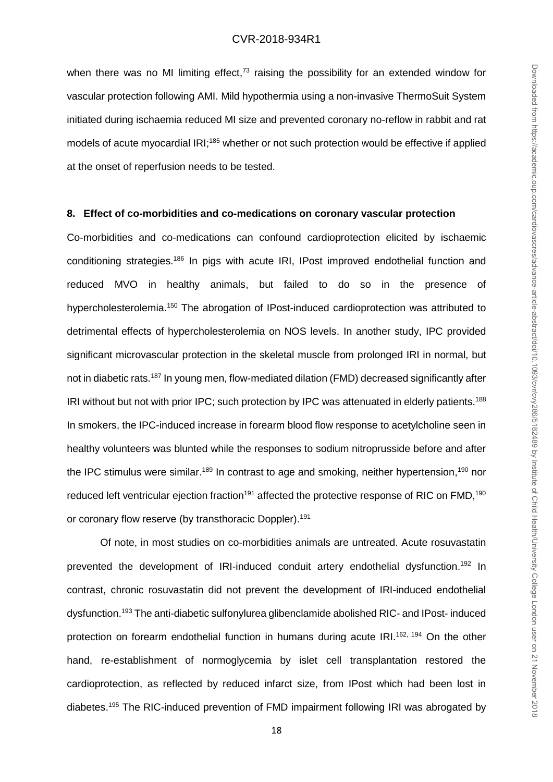when there was no MI limiting effect, $73$  raising the possibility for an extended window for vascular protection following AMI. Mild hypothermia using a non-invasive ThermoSuit System initiated during ischaemia reduced MI size and prevented coronary no-reflow in rabbit and rat models of acute myocardial IRI;<sup>185</sup> whether or not such protection would be effective if applied at the onset of reperfusion needs to be tested.

#### **8. Effect of co-morbidities and co-medications on coronary vascular protection**

Co-morbidities and co-medications can confound cardioprotection elicited by ischaemic conditioning strategies.<sup>186</sup> In pigs with acute IRI, IPost improved endothelial function and reduced MVO in healthy animals, but failed to do so in the presence of hypercholesterolemia.<sup>150</sup> The abrogation of IPost-induced cardioprotection was attributed to detrimental effects of hypercholesterolemia on NOS levels. In another study, IPC provided significant microvascular protection in the skeletal muscle from prolonged IRI in normal, but not in diabetic rats.<sup>187</sup> In young men, flow-mediated dilation (FMD) decreased significantly after IRI without but not with prior IPC; such protection by IPC was attenuated in elderly patients.<sup>188</sup> In smokers, the IPC-induced increase in forearm blood flow response to acetylcholine seen in healthy volunteers was blunted while the responses to sodium nitroprusside before and after the IPC stimulus were similar.<sup>189</sup> In contrast to age and smoking, neither hypertension,<sup>190</sup> nor reduced left ventricular ejection fraction<sup>191</sup> affected the protective response of RIC on FMD,<sup>190</sup> or coronary flow reserve (by transthoracic Doppler). 191

Of note, in most studies on co-morbidities animals are untreated. Acute rosuvastatin prevented the development of IRI-induced conduit artery endothelial dysfunction.<sup>192</sup> In contrast, chronic rosuvastatin did not prevent the development of IRI-induced endothelial dysfunction. <sup>193</sup> The anti-diabetic sulfonylurea glibenclamide abolished RIC- and IPost- induced protection on forearm endothelial function in humans during acute IRI.<sup>162, 194</sup> On the other hand, re-establishment of normoglycemia by islet cell transplantation restored the cardioprotection, as reflected by reduced infarct size, from IPost which had been lost in diabetes. <sup>195</sup> The RIC-induced prevention of FMD impairment following IRI was abrogated by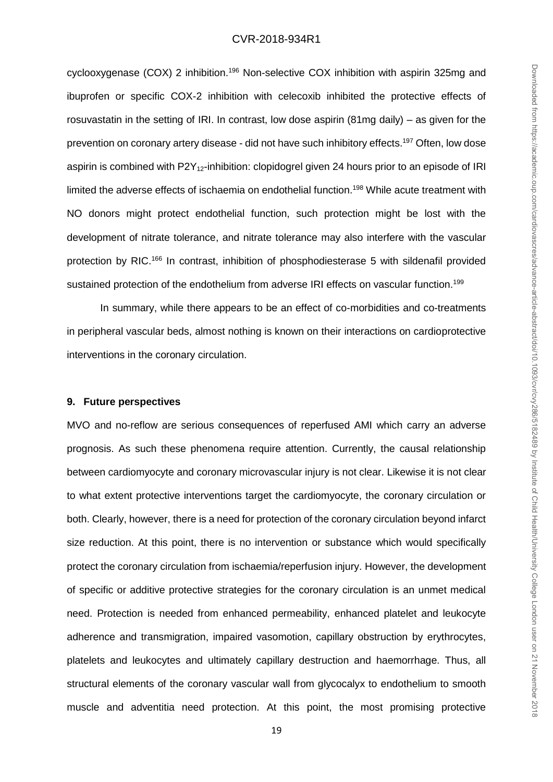cyclooxygenase (COX) 2 inhibition.<sup>196</sup> Non-selective COX inhibition with aspirin 325mg and ibuprofen or specific COX-2 inhibition with celecoxib inhibited the protective effects of rosuvastatin in the setting of IRI. In contrast, low dose aspirin (81mg daily) – as given for the prevention on coronary artery disease - did not have such inhibitory effects. <sup>197</sup> Often, low dose aspirin is combined with  $P2Y_{12}$ -inhibition: clopidogrel given 24 hours prior to an episode of IRI limited the adverse effects of ischaemia on endothelial function. <sup>198</sup> While acute treatment with NO donors might protect endothelial function, such protection might be lost with the development of nitrate tolerance, and nitrate tolerance may also interfere with the vascular protection by RIC.<sup>166</sup> In contrast, inhibition of phosphodiesterase 5 with sildenafil provided sustained protection of the endothelium from adverse IRI effects on vascular function.<sup>199</sup>

In summary, while there appears to be an effect of co-morbidities and co-treatments in peripheral vascular beds, almost nothing is known on their interactions on cardioprotective interventions in the coronary circulation.

#### **9. Future perspectives**

MVO and no-reflow are serious consequences of reperfused AMI which carry an adverse prognosis. As such these phenomena require attention. Currently, the causal relationship between cardiomyocyte and coronary microvascular injury is not clear. Likewise it is not clear to what extent protective interventions target the cardiomyocyte, the coronary circulation or both. Clearly, however, there is a need for protection of the coronary circulation beyond infarct size reduction. At this point, there is no intervention or substance which would specifically protect the coronary circulation from ischaemia/reperfusion injury. However, the development of specific or additive protective strategies for the coronary circulation is an unmet medical need. Protection is needed from enhanced permeability, enhanced platelet and leukocyte adherence and transmigration, impaired vasomotion, capillary obstruction by erythrocytes, platelets and leukocytes and ultimately capillary destruction and haemorrhage. Thus, all structural elements of the coronary vascular wall from glycocalyx to endothelium to smooth muscle and adventitia need protection. At this point, the most promising protective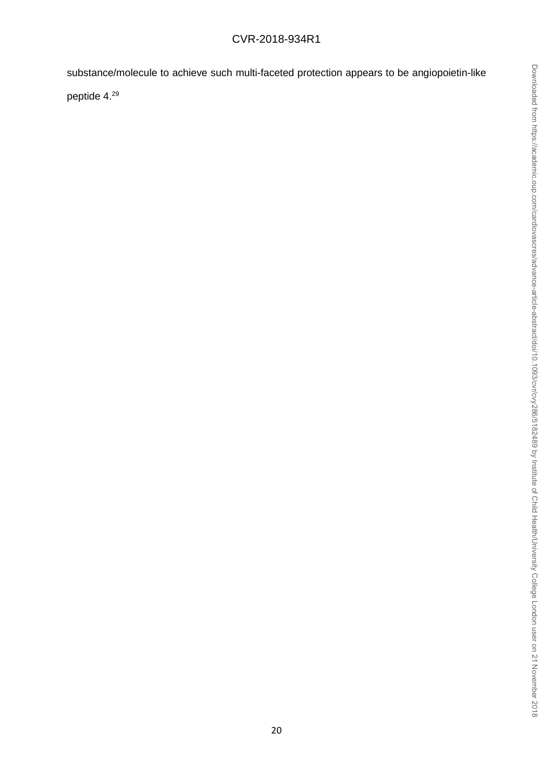substance/molecule to achieve such multi-faceted protection appears to be angiopoietin-like peptide 4. 29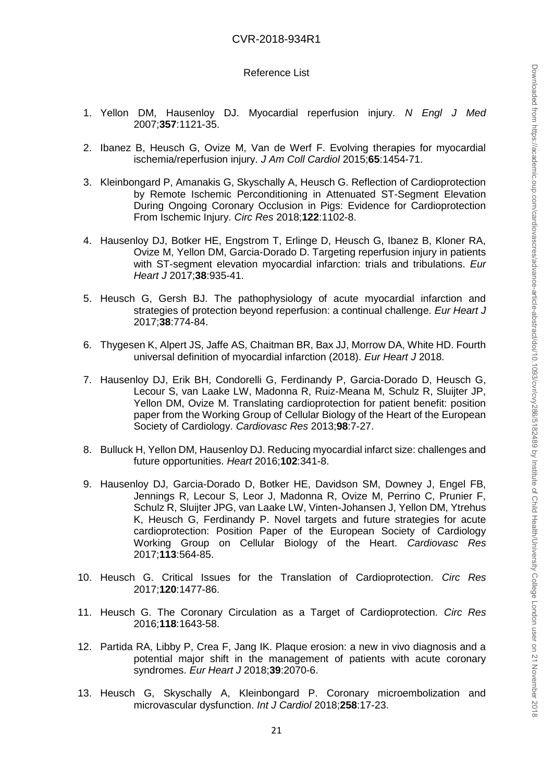#### Reference List

- 1. Yellon DM, Hausenloy DJ. Myocardial reperfusion injury. *N Engl J Med* 2007;**357**:1121-35.
- 2. Ibanez B, Heusch G, Ovize M, Van de Werf F. Evolving therapies for myocardial ischemia/reperfusion injury. *J Am Coll Cardiol* 2015;**65**:1454-71.
- 3. Kleinbongard P, Amanakis G, Skyschally A, Heusch G. Reflection of Cardioprotection by Remote Ischemic Perconditioning in Attenuated ST-Segment Elevation During Ongoing Coronary Occlusion in Pigs: Evidence for Cardioprotection From Ischemic Injury. *Circ Res* 2018;**122**:1102-8.
- 4. Hausenloy DJ, Botker HE, Engstrom T, Erlinge D, Heusch G, Ibanez B, Kloner RA, Ovize M, Yellon DM, Garcia-Dorado D. Targeting reperfusion injury in patients with ST-segment elevation myocardial infarction: trials and tribulations. *Eur Heart J* 2017;**38**:935-41.
- 5. Heusch G, Gersh BJ. The pathophysiology of acute myocardial infarction and strategies of protection beyond reperfusion: a continual challenge. *Eur Heart J* 2017;**38**:774-84.
- 6. Thygesen K, Alpert JS, Jaffe AS, Chaitman BR, Bax JJ, Morrow DA, White HD. Fourth universal definition of myocardial infarction (2018). *Eur Heart J* 2018.
- 7. Hausenloy DJ, Erik BH, Condorelli G, Ferdinandy P, Garcia-Dorado D, Heusch G, Lecour S, van Laake LW, Madonna R, Ruiz-Meana M, Schulz R, Sluijter JP, Yellon DM, Ovize M. Translating cardioprotection for patient benefit: position paper from the Working Group of Cellular Biology of the Heart of the European Society of Cardiology. *Cardiovasc Res* 2013;**98**:7-27.
- 8. Bulluck H, Yellon DM, Hausenloy DJ. Reducing myocardial infarct size: challenges and future opportunities. *Heart* 2016;**102**:341-8.
- 9. Hausenloy DJ, Garcia-Dorado D, Botker HE, Davidson SM, Downey J, Engel FB, Jennings R, Lecour S, Leor J, Madonna R, Ovize M, Perrino C, Prunier F, Schulz R, Sluijter JPG, van Laake LW, Vinten-Johansen J, Yellon DM, Ytrehus K, Heusch G, Ferdinandy P. Novel targets and future strategies for acute cardioprotection: Position Paper of the European Society of Cardiology Working Group on Cellular Biology of the Heart. *Cardiovasc Res* 2017;**113**:564-85.
- 10. Heusch G. Critical Issues for the Translation of Cardioprotection. *Circ Res* 2017;**120**:1477-86.
- 11. Heusch G. The Coronary Circulation as a Target of Cardioprotection. *Circ Res* 2016;**118**:1643-58.
- 12. Partida RA, Libby P, Crea F, Jang IK. Plaque erosion: a new in vivo diagnosis and a potential major shift in the management of patients with acute coronary syndromes. *Eur Heart J* 2018;**39**:2070-6.
- 13. Heusch G, Skyschally A, Kleinbongard P. Coronary microembolization and microvascular dysfunction. *Int J Cardiol* 2018;**258**:17-23.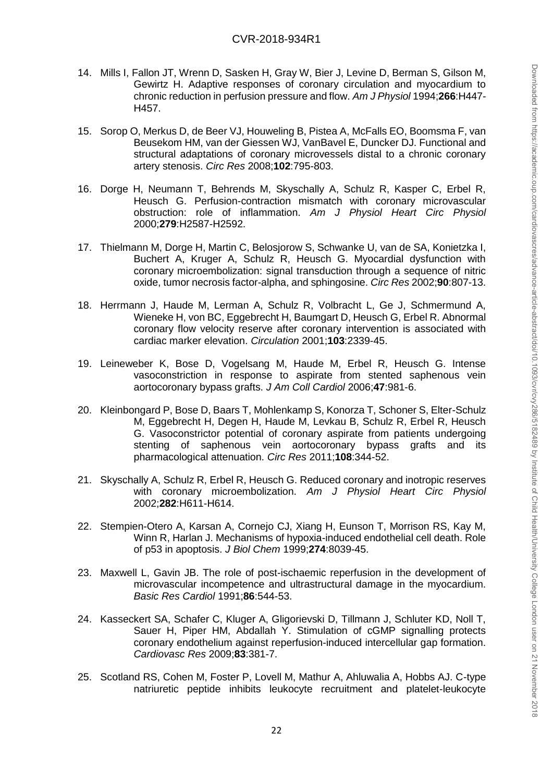- 14. Mills I, Fallon JT, Wrenn D, Sasken H, Gray W, Bier J, Levine D, Berman S, Gilson M, Gewirtz H. Adaptive responses of coronary circulation and myocardium to chronic reduction in perfusion pressure and flow. *Am J Physiol* 1994;**266**:H447- H457.
- 15. Sorop O, Merkus D, de Beer VJ, Houweling B, Pistea A, McFalls EO, Boomsma F, van Beusekom HM, van der Giessen WJ, VanBavel E, Duncker DJ. Functional and structural adaptations of coronary microvessels distal to a chronic coronary artery stenosis. *Circ Res* 2008;**102**:795-803.
- 16. Dorge H, Neumann T, Behrends M, Skyschally A, Schulz R, Kasper C, Erbel R, Heusch G. Perfusion-contraction mismatch with coronary microvascular obstruction: role of inflammation. *Am J Physiol Heart Circ Physiol* 2000;**279**:H2587-H2592.
- 17. Thielmann M, Dorge H, Martin C, Belosjorow S, Schwanke U, van de SA, Konietzka I, Buchert A, Kruger A, Schulz R, Heusch G. Myocardial dysfunction with coronary microembolization: signal transduction through a sequence of nitric oxide, tumor necrosis factor-alpha, and sphingosine. *Circ Res* 2002;**90**:807-13.
- 18. Herrmann J, Haude M, Lerman A, Schulz R, Volbracht L, Ge J, Schmermund A, Wieneke H, von BC, Eggebrecht H, Baumgart D, Heusch G, Erbel R. Abnormal coronary flow velocity reserve after coronary intervention is associated with cardiac marker elevation. *Circulation* 2001;**103**:2339-45.
- 19. Leineweber K, Bose D, Vogelsang M, Haude M, Erbel R, Heusch G. Intense vasoconstriction in response to aspirate from stented saphenous vein aortocoronary bypass grafts. *J Am Coll Cardiol* 2006;**47**:981-6.
- 20. Kleinbongard P, Bose D, Baars T, Mohlenkamp S, Konorza T, Schoner S, Elter-Schulz M, Eggebrecht H, Degen H, Haude M, Levkau B, Schulz R, Erbel R, Heusch G. Vasoconstrictor potential of coronary aspirate from patients undergoing stenting of saphenous vein aortocoronary bypass grafts and its pharmacological attenuation. *Circ Res* 2011;**108**:344-52.
- 21. Skyschally A, Schulz R, Erbel R, Heusch G. Reduced coronary and inotropic reserves with coronary microembolization. *Am J Physiol Heart Circ Physiol* 2002;**282**:H611-H614.
- 22. Stempien-Otero A, Karsan A, Cornejo CJ, Xiang H, Eunson T, Morrison RS, Kay M, Winn R, Harlan J. Mechanisms of hypoxia-induced endothelial cell death. Role of p53 in apoptosis. *J Biol Chem* 1999;**274**:8039-45.
- 23. Maxwell L, Gavin JB. The role of post-ischaemic reperfusion in the development of microvascular incompetence and ultrastructural damage in the myocardium. *Basic Res Cardiol* 1991;**86**:544-53.
- 24. Kasseckert SA, Schafer C, Kluger A, Gligorievski D, Tillmann J, Schluter KD, Noll T, Sauer H, Piper HM, Abdallah Y. Stimulation of cGMP signalling protects coronary endothelium against reperfusion-induced intercellular gap formation. *Cardiovasc Res* 2009;**83**:381-7.
- 25. Scotland RS, Cohen M, Foster P, Lovell M, Mathur A, Ahluwalia A, Hobbs AJ. C-type natriuretic peptide inhibits leukocyte recruitment and platelet-leukocyte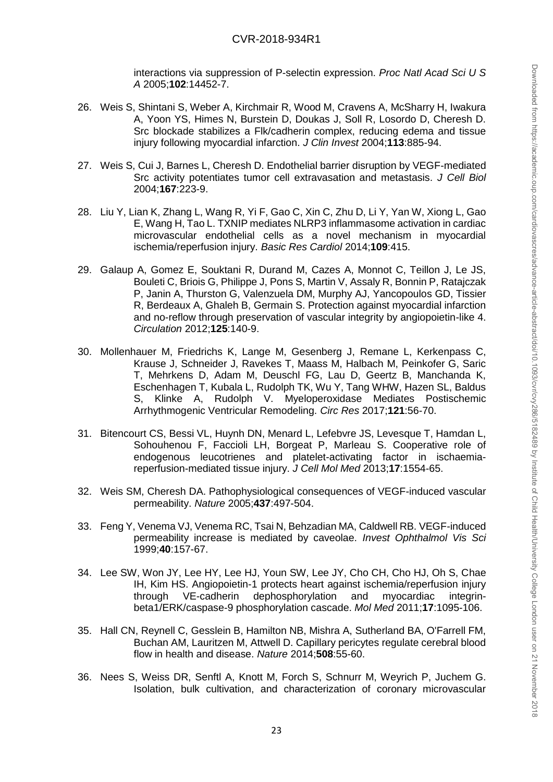interactions via suppression of P-selectin expression. *Proc Natl Acad Sci U S A* 2005;**102**:14452-7.

- 26. Weis S, Shintani S, Weber A, Kirchmair R, Wood M, Cravens A, McSharry H, Iwakura A, Yoon YS, Himes N, Burstein D, Doukas J, Soll R, Losordo D, Cheresh D. Src blockade stabilizes a Flk/cadherin complex, reducing edema and tissue injury following myocardial infarction. *J Clin Invest* 2004;**113**:885-94.
- 27. Weis S, Cui J, Barnes L, Cheresh D. Endothelial barrier disruption by VEGF-mediated Src activity potentiates tumor cell extravasation and metastasis. *J Cell Biol* 2004;**167**:223-9.
- 28. Liu Y, Lian K, Zhang L, Wang R, Yi F, Gao C, Xin C, Zhu D, Li Y, Yan W, Xiong L, Gao E, Wang H, Tao L. TXNIP mediates NLRP3 inflammasome activation in cardiac microvascular endothelial cells as a novel mechanism in myocardial ischemia/reperfusion injury. *Basic Res Cardiol* 2014;**109**:415.
- 29. Galaup A, Gomez E, Souktani R, Durand M, Cazes A, Monnot C, Teillon J, Le JS, Bouleti C, Briois G, Philippe J, Pons S, Martin V, Assaly R, Bonnin P, Ratajczak P, Janin A, Thurston G, Valenzuela DM, Murphy AJ, Yancopoulos GD, Tissier R, Berdeaux A, Ghaleh B, Germain S. Protection against myocardial infarction and no-reflow through preservation of vascular integrity by angiopoietin-like 4. *Circulation* 2012;**125**:140-9.
- 30. Mollenhauer M, Friedrichs K, Lange M, Gesenberg J, Remane L, Kerkenpass C, Krause J, Schneider J, Ravekes T, Maass M, Halbach M, Peinkofer G, Saric T, Mehrkens D, Adam M, Deuschl FG, Lau D, Geertz B, Manchanda K, Eschenhagen T, Kubala L, Rudolph TK, Wu Y, Tang WHW, Hazen SL, Baldus S, Klinke A, Rudolph V. Myeloperoxidase Mediates Postischemic Arrhythmogenic Ventricular Remodeling. *Circ Res* 2017;**121**:56-70.
- 31. Bitencourt CS, Bessi VL, Huynh DN, Menard L, Lefebvre JS, Levesque T, Hamdan L, Sohouhenou F, Faccioli LH, Borgeat P, Marleau S. Cooperative role of endogenous leucotrienes and platelet-activating factor in ischaemiareperfusion-mediated tissue injury. *J Cell Mol Med* 2013;**17**:1554-65.
- 32. Weis SM, Cheresh DA. Pathophysiological consequences of VEGF-induced vascular permeability. *Nature* 2005;**437**:497-504.
- 33. Feng Y, Venema VJ, Venema RC, Tsai N, Behzadian MA, Caldwell RB. VEGF-induced permeability increase is mediated by caveolae. *Invest Ophthalmol Vis Sci* 1999;**40**:157-67.
- 34. Lee SW, Won JY, Lee HY, Lee HJ, Youn SW, Lee JY, Cho CH, Cho HJ, Oh S, Chae IH, Kim HS. Angiopoietin-1 protects heart against ischemia/reperfusion injury through VE-cadherin dephosphorylation and myocardiac integrinbeta1/ERK/caspase-9 phosphorylation cascade. *Mol Med* 2011;**17**:1095-106.
- 35. Hall CN, Reynell C, Gesslein B, Hamilton NB, Mishra A, Sutherland BA, O'Farrell FM, Buchan AM, Lauritzen M, Attwell D. Capillary pericytes regulate cerebral blood flow in health and disease. *Nature* 2014;**508**:55-60.
- 36. Nees S, Weiss DR, Senftl A, Knott M, Forch S, Schnurr M, Weyrich P, Juchem G. Isolation, bulk cultivation, and characterization of coronary microvascular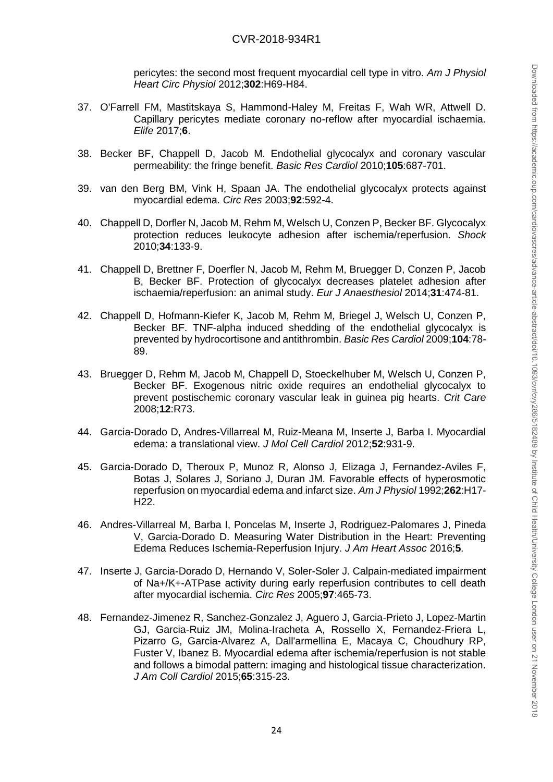pericytes: the second most frequent myocardial cell type in vitro. *Am J Physiol Heart Circ Physiol* 2012;**302**:H69-H84.

- 37. O'Farrell FM, Mastitskaya S, Hammond-Haley M, Freitas F, Wah WR, Attwell D. Capillary pericytes mediate coronary no-reflow after myocardial ischaemia. *Elife* 2017;**6**.
- 38. Becker BF, Chappell D, Jacob M. Endothelial glycocalyx and coronary vascular permeability: the fringe benefit. *Basic Res Cardiol* 2010;**105**:687-701.
- 39. van den Berg BM, Vink H, Spaan JA. The endothelial glycocalyx protects against myocardial edema. *Circ Res* 2003;**92**:592-4.
- 40. Chappell D, Dorfler N, Jacob M, Rehm M, Welsch U, Conzen P, Becker BF. Glycocalyx protection reduces leukocyte adhesion after ischemia/reperfusion. *Shock* 2010;**34**:133-9.
- 41. Chappell D, Brettner F, Doerfler N, Jacob M, Rehm M, Bruegger D, Conzen P, Jacob B, Becker BF. Protection of glycocalyx decreases platelet adhesion after ischaemia/reperfusion: an animal study. *Eur J Anaesthesiol* 2014;**31**:474-81.
- 42. Chappell D, Hofmann-Kiefer K, Jacob M, Rehm M, Briegel J, Welsch U, Conzen P, Becker BF. TNF-alpha induced shedding of the endothelial glycocalyx is prevented by hydrocortisone and antithrombin. *Basic Res Cardiol* 2009;**104**:78- 89.
- 43. Bruegger D, Rehm M, Jacob M, Chappell D, Stoeckelhuber M, Welsch U, Conzen P, Becker BF. Exogenous nitric oxide requires an endothelial glycocalyx to prevent postischemic coronary vascular leak in guinea pig hearts. *Crit Care* 2008;**12**:R73.
- 44. Garcia-Dorado D, Andres-Villarreal M, Ruiz-Meana M, Inserte J, Barba I. Myocardial edema: a translational view. *J Mol Cell Cardiol* 2012;**52**:931-9.
- 45. Garcia-Dorado D, Theroux P, Munoz R, Alonso J, Elizaga J, Fernandez-Aviles F, Botas J, Solares J, Soriano J, Duran JM. Favorable effects of hyperosmotic reperfusion on myocardial edema and infarct size. *Am J Physiol* 1992;**262**:H17- H22.
- 46. Andres-Villarreal M, Barba I, Poncelas M, Inserte J, Rodriguez-Palomares J, Pineda V, Garcia-Dorado D. Measuring Water Distribution in the Heart: Preventing Edema Reduces Ischemia-Reperfusion Injury. *J Am Heart Assoc* 2016;**5**.
- 47. Inserte J, Garcia-Dorado D, Hernando V, Soler-Soler J. Calpain-mediated impairment of Na+/K+-ATPase activity during early reperfusion contributes to cell death after myocardial ischemia. *Circ Res* 2005;**97**:465-73.
- 48. Fernandez-Jimenez R, Sanchez-Gonzalez J, Aguero J, Garcia-Prieto J, Lopez-Martin GJ, Garcia-Ruiz JM, Molina-Iracheta A, Rossello X, Fernandez-Friera L, Pizarro G, Garcia-Alvarez A, Dall'armellina E, Macaya C, Choudhury RP, Fuster V, Ibanez B. Myocardial edema after ischemia/reperfusion is not stable and follows a bimodal pattern: imaging and histological tissue characterization. *J Am Coll Cardiol* 2015;**65**:315-23.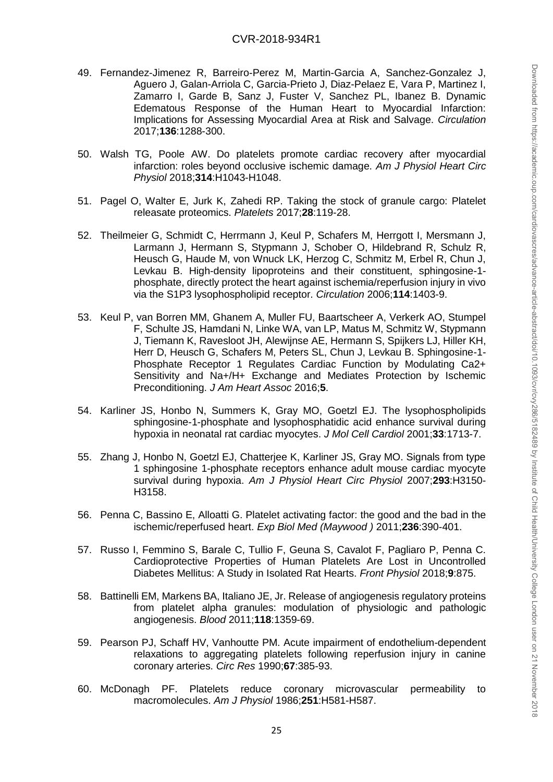- 49. Fernandez-Jimenez R, Barreiro-Perez M, Martin-Garcia A, Sanchez-Gonzalez J, Aguero J, Galan-Arriola C, Garcia-Prieto J, Diaz-Pelaez E, Vara P, Martinez I, Zamarro I, Garde B, Sanz J, Fuster V, Sanchez PL, Ibanez B. Dynamic Edematous Response of the Human Heart to Myocardial Infarction: Implications for Assessing Myocardial Area at Risk and Salvage. *Circulation* 2017;**136**:1288-300.
- 50. Walsh TG, Poole AW. Do platelets promote cardiac recovery after myocardial infarction: roles beyond occlusive ischemic damage. *Am J Physiol Heart Circ Physiol* 2018;**314**:H1043-H1048.
- 51. Pagel O, Walter E, Jurk K, Zahedi RP. Taking the stock of granule cargo: Platelet releasate proteomics. *Platelets* 2017;**28**:119-28.
- 52. Theilmeier G, Schmidt C, Herrmann J, Keul P, Schafers M, Herrgott I, Mersmann J, Larmann J, Hermann S, Stypmann J, Schober O, Hildebrand R, Schulz R, Heusch G, Haude M, von Wnuck LK, Herzog C, Schmitz M, Erbel R, Chun J, Levkau B. High-density lipoproteins and their constituent, sphingosine-1 phosphate, directly protect the heart against ischemia/reperfusion injury in vivo via the S1P3 lysophospholipid receptor. *Circulation* 2006;**114**:1403-9.
- 53. Keul P, van Borren MM, Ghanem A, Muller FU, Baartscheer A, Verkerk AO, Stumpel F, Schulte JS, Hamdani N, Linke WA, van LP, Matus M, Schmitz W, Stypmann J, Tiemann K, Ravesloot JH, Alewijnse AE, Hermann S, Spijkers LJ, Hiller KH, Herr D, Heusch G, Schafers M, Peters SL, Chun J, Levkau B. Sphingosine-1- Phosphate Receptor 1 Regulates Cardiac Function by Modulating Ca2+ Sensitivity and Na+/H+ Exchange and Mediates Protection by Ischemic Preconditioning. *J Am Heart Assoc* 2016;**5**.
- 54. Karliner JS, Honbo N, Summers K, Gray MO, Goetzl EJ. The lysophospholipids sphingosine-1-phosphate and lysophosphatidic acid enhance survival during hypoxia in neonatal rat cardiac myocytes. *J Mol Cell Cardiol* 2001;**33**:1713-7.
- 55. Zhang J, Honbo N, Goetzl EJ, Chatterjee K, Karliner JS, Gray MO. Signals from type 1 sphingosine 1-phosphate receptors enhance adult mouse cardiac myocyte survival during hypoxia. *Am J Physiol Heart Circ Physiol* 2007;**293**:H3150- H3158.
- 56. Penna C, Bassino E, Alloatti G. Platelet activating factor: the good and the bad in the ischemic/reperfused heart. *Exp Biol Med (Maywood )* 2011;**236**:390-401.
- 57. Russo I, Femmino S, Barale C, Tullio F, Geuna S, Cavalot F, Pagliaro P, Penna C. Cardioprotective Properties of Human Platelets Are Lost in Uncontrolled Diabetes Mellitus: A Study in Isolated Rat Hearts. *Front Physiol* 2018;**9**:875.
- 58. Battinelli EM, Markens BA, Italiano JE, Jr. Release of angiogenesis regulatory proteins from platelet alpha granules: modulation of physiologic and pathologic angiogenesis. *Blood* 2011;**118**:1359-69.
- 59. Pearson PJ, Schaff HV, Vanhoutte PM. Acute impairment of endothelium-dependent relaxations to aggregating platelets following reperfusion injury in canine coronary arteries. *Circ Res* 1990;**67**:385-93.
- 60. McDonagh PF. Platelets reduce coronary microvascular permeability to macromolecules. *Am J Physiol* 1986;**251**:H581-H587.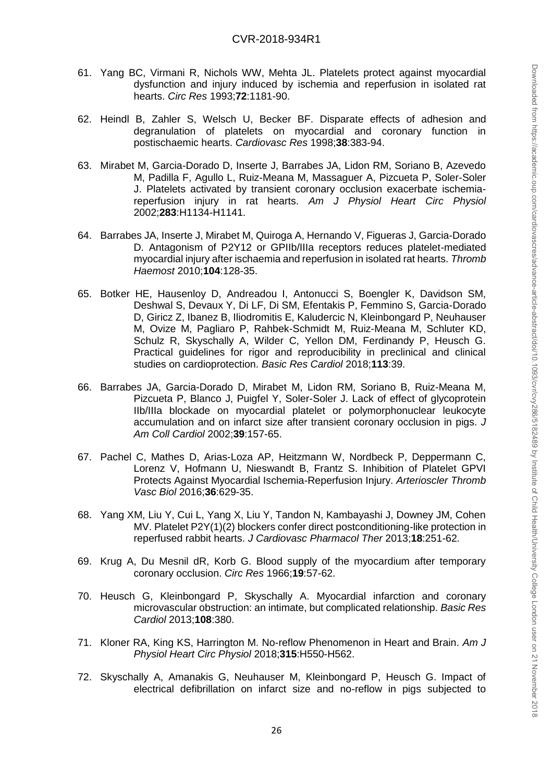- 61. Yang BC, Virmani R, Nichols WW, Mehta JL. Platelets protect against myocardial dysfunction and injury induced by ischemia and reperfusion in isolated rat hearts. *Circ Res* 1993;**72**:1181-90.
- 62. Heindl B, Zahler S, Welsch U, Becker BF. Disparate effects of adhesion and degranulation of platelets on myocardial and coronary function in postischaemic hearts. *Cardiovasc Res* 1998;**38**:383-94.
- 63. Mirabet M, Garcia-Dorado D, Inserte J, Barrabes JA, Lidon RM, Soriano B, Azevedo M, Padilla F, Agullo L, Ruiz-Meana M, Massaguer A, Pizcueta P, Soler-Soler J. Platelets activated by transient coronary occlusion exacerbate ischemiareperfusion injury in rat hearts. *Am J Physiol Heart Circ Physiol* 2002;**283**:H1134-H1141.
- 64. Barrabes JA, Inserte J, Mirabet M, Quiroga A, Hernando V, Figueras J, Garcia-Dorado D. Antagonism of P2Y12 or GPIIb/IIIa receptors reduces platelet-mediated myocardial injury after ischaemia and reperfusion in isolated rat hearts. *Thromb Haemost* 2010;**104**:128-35.
- 65. Botker HE, Hausenloy D, Andreadou I, Antonucci S, Boengler K, Davidson SM, Deshwal S, Devaux Y, Di LF, Di SM, Efentakis P, Femmino S, Garcia-Dorado D, Giricz Z, Ibanez B, Iliodromitis E, Kaludercic N, Kleinbongard P, Neuhauser M, Ovize M, Pagliaro P, Rahbek-Schmidt M, Ruiz-Meana M, Schluter KD, Schulz R, Skyschally A, Wilder C, Yellon DM, Ferdinandy P, Heusch G. Practical guidelines for rigor and reproducibility in preclinical and clinical studies on cardioprotection. *Basic Res Cardiol* 2018;**113**:39.
- 66. Barrabes JA, Garcia-Dorado D, Mirabet M, Lidon RM, Soriano B, Ruiz-Meana M, Pizcueta P, Blanco J, Puigfel Y, Soler-Soler J. Lack of effect of glycoprotein IIb/IIIa blockade on myocardial platelet or polymorphonuclear leukocyte accumulation and on infarct size after transient coronary occlusion in pigs. *J Am Coll Cardiol* 2002;**39**:157-65.
- 67. Pachel C, Mathes D, Arias-Loza AP, Heitzmann W, Nordbeck P, Deppermann C, Lorenz V, Hofmann U, Nieswandt B, Frantz S. Inhibition of Platelet GPVI Protects Against Myocardial Ischemia-Reperfusion Injury. *Arterioscler Thromb Vasc Biol* 2016;**36**:629-35.
- 68. Yang XM, Liu Y, Cui L, Yang X, Liu Y, Tandon N, Kambayashi J, Downey JM, Cohen MV. Platelet P2Y(1)(2) blockers confer direct postconditioning-like protection in reperfused rabbit hearts. *J Cardiovasc Pharmacol Ther* 2013;**18**:251-62.
- 69. Krug A, Du Mesnil dR, Korb G. Blood supply of the myocardium after temporary coronary occlusion. *Circ Res* 1966;**19**:57-62.
- 70. Heusch G, Kleinbongard P, Skyschally A. Myocardial infarction and coronary microvascular obstruction: an intimate, but complicated relationship. *Basic Res Cardiol* 2013;**108**:380.
- 71. Kloner RA, King KS, Harrington M. No-reflow Phenomenon in Heart and Brain. *Am J Physiol Heart Circ Physiol* 2018;**315**:H550-H562.
- 72. Skyschally A, Amanakis G, Neuhauser M, Kleinbongard P, Heusch G. Impact of electrical defibrillation on infarct size and no-reflow in pigs subjected to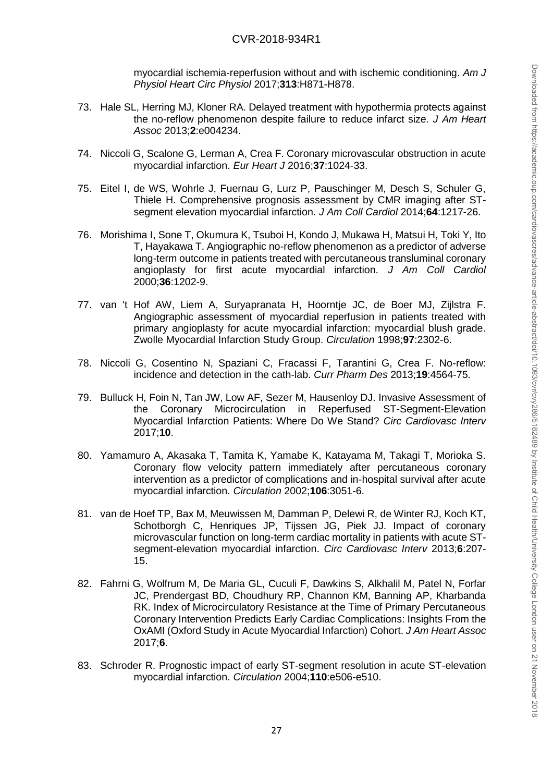myocardial ischemia-reperfusion without and with ischemic conditioning. *Am J Physiol Heart Circ Physiol* 2017;**313**:H871-H878.

- 73. Hale SL, Herring MJ, Kloner RA. Delayed treatment with hypothermia protects against the no-reflow phenomenon despite failure to reduce infarct size. *J Am Heart Assoc* 2013;**2**:e004234.
- 74. Niccoli G, Scalone G, Lerman A, Crea F. Coronary microvascular obstruction in acute myocardial infarction. *Eur Heart J* 2016;**37**:1024-33.
- 75. Eitel I, de WS, Wohrle J, Fuernau G, Lurz P, Pauschinger M, Desch S, Schuler G, Thiele H. Comprehensive prognosis assessment by CMR imaging after STsegment elevation myocardial infarction. *J Am Coll Cardiol* 2014;**64**:1217-26.
- 76. Morishima I, Sone T, Okumura K, Tsuboi H, Kondo J, Mukawa H, Matsui H, Toki Y, Ito T, Hayakawa T. Angiographic no-reflow phenomenon as a predictor of adverse long-term outcome in patients treated with percutaneous transluminal coronary angioplasty for first acute myocardial infarction. *J Am Coll Cardiol* 2000;**36**:1202-9.
- 77. van 't Hof AW, Liem A, Suryapranata H, Hoorntje JC, de Boer MJ, Zijlstra F. Angiographic assessment of myocardial reperfusion in patients treated with primary angioplasty for acute myocardial infarction: myocardial blush grade. Zwolle Myocardial Infarction Study Group. *Circulation* 1998;**97**:2302-6.
- 78. Niccoli G, Cosentino N, Spaziani C, Fracassi F, Tarantini G, Crea F. No-reflow: incidence and detection in the cath-lab. *Curr Pharm Des* 2013;**19**:4564-75.
- 79. Bulluck H, Foin N, Tan JW, Low AF, Sezer M, Hausenloy DJ. Invasive Assessment of the Coronary Microcirculation in Reperfused ST-Segment-Elevation Myocardial Infarction Patients: Where Do We Stand? *Circ Cardiovasc Interv* 2017;**10**.
- 80. Yamamuro A, Akasaka T, Tamita K, Yamabe K, Katayama M, Takagi T, Morioka S. Coronary flow velocity pattern immediately after percutaneous coronary intervention as a predictor of complications and in-hospital survival after acute myocardial infarction. *Circulation* 2002;**106**:3051-6.
- 81. van de Hoef TP, Bax M, Meuwissen M, Damman P, Delewi R, de Winter RJ, Koch KT, Schotborgh C, Henriques JP, Tijssen JG, Piek JJ. Impact of coronary microvascular function on long-term cardiac mortality in patients with acute STsegment-elevation myocardial infarction. *Circ Cardiovasc Interv* 2013;**6**:207- 15.
- 82. Fahrni G, Wolfrum M, De Maria GL, Cuculi F, Dawkins S, Alkhalil M, Patel N, Forfar JC, Prendergast BD, Choudhury RP, Channon KM, Banning AP, Kharbanda RK. Index of Microcirculatory Resistance at the Time of Primary Percutaneous Coronary Intervention Predicts Early Cardiac Complications: Insights From the OxAMI (Oxford Study in Acute Myocardial Infarction) Cohort. *J Am Heart Assoc* 2017;**6**.
- 83. Schroder R. Prognostic impact of early ST-segment resolution in acute ST-elevation myocardial infarction. *Circulation* 2004;**110**:e506-e510.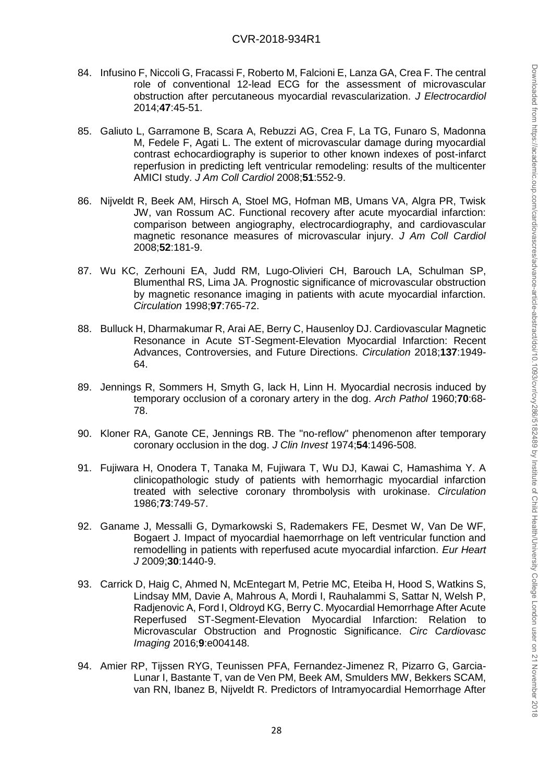- 84. Infusino F, Niccoli G, Fracassi F, Roberto M, Falcioni E, Lanza GA, Crea F. The central role of conventional 12-lead ECG for the assessment of microvascular obstruction after percutaneous myocardial revascularization. *J Electrocardiol* 2014;**47**:45-51.
- 85. Galiuto L, Garramone B, Scara A, Rebuzzi AG, Crea F, La TG, Funaro S, Madonna M, Fedele F, Agati L. The extent of microvascular damage during myocardial contrast echocardiography is superior to other known indexes of post-infarct reperfusion in predicting left ventricular remodeling: results of the multicenter AMICI study. *J Am Coll Cardiol* 2008;**51**:552-9.
- 86. Nijveldt R, Beek AM, Hirsch A, Stoel MG, Hofman MB, Umans VA, Algra PR, Twisk JW, van Rossum AC. Functional recovery after acute myocardial infarction: comparison between angiography, electrocardiography, and cardiovascular magnetic resonance measures of microvascular injury. *J Am Coll Cardiol* 2008;**52**:181-9.
- 87. Wu KC, Zerhouni EA, Judd RM, Lugo-Olivieri CH, Barouch LA, Schulman SP, Blumenthal RS, Lima JA. Prognostic significance of microvascular obstruction by magnetic resonance imaging in patients with acute myocardial infarction. *Circulation* 1998;**97**:765-72.
- 88. Bulluck H, Dharmakumar R, Arai AE, Berry C, Hausenloy DJ. Cardiovascular Magnetic Resonance in Acute ST-Segment-Elevation Myocardial Infarction: Recent Advances, Controversies, and Future Directions. *Circulation* 2018;**137**:1949- 64.
- 89. Jennings R, Sommers H, Smyth G, lack H, Linn H. Myocardial necrosis induced by temporary occlusion of a coronary artery in the dog. *Arch Pathol* 1960;**70**:68- 78.
- 90. Kloner RA, Ganote CE, Jennings RB. The "no-reflow" phenomenon after temporary coronary occlusion in the dog. *J Clin Invest* 1974;**54**:1496-508.
- 91. Fujiwara H, Onodera T, Tanaka M, Fujiwara T, Wu DJ, Kawai C, Hamashima Y. A clinicopathologic study of patients with hemorrhagic myocardial infarction treated with selective coronary thrombolysis with urokinase. *Circulation* 1986;**73**:749-57.
- 92. Ganame J, Messalli G, Dymarkowski S, Rademakers FE, Desmet W, Van De WF, Bogaert J. Impact of myocardial haemorrhage on left ventricular function and remodelling in patients with reperfused acute myocardial infarction. *Eur Heart J* 2009;**30**:1440-9.
- 93. Carrick D, Haig C, Ahmed N, McEntegart M, Petrie MC, Eteiba H, Hood S, Watkins S, Lindsay MM, Davie A, Mahrous A, Mordi I, Rauhalammi S, Sattar N, Welsh P, Radjenovic A, Ford I, Oldroyd KG, Berry C. Myocardial Hemorrhage After Acute Reperfused ST-Segment-Elevation Myocardial Infarction: Relation to Microvascular Obstruction and Prognostic Significance. *Circ Cardiovasc Imaging* 2016;**9**:e004148.
- 94. Amier RP, Tijssen RYG, Teunissen PFA, Fernandez-Jimenez R, Pizarro G, Garcia-Lunar I, Bastante T, van de Ven PM, Beek AM, Smulders MW, Bekkers SCAM, van RN, Ibanez B, Nijveldt R. Predictors of Intramyocardial Hemorrhage After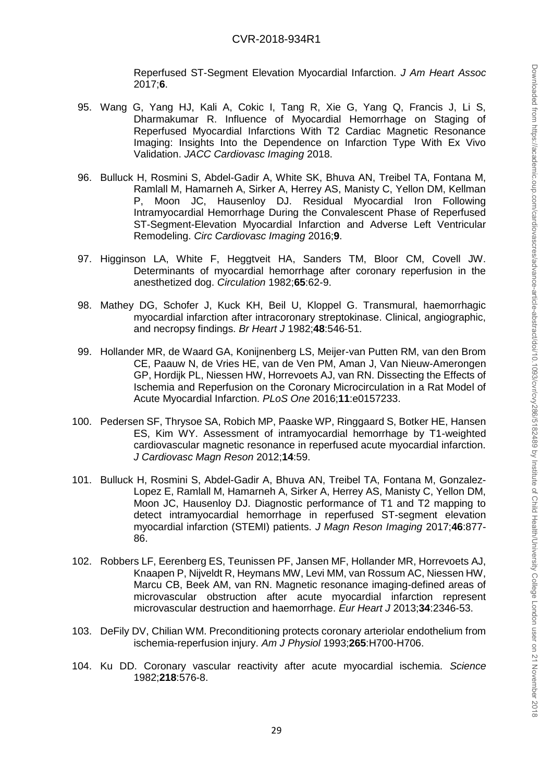Reperfused ST-Segment Elevation Myocardial Infarction. *J Am Heart Assoc* 2017;**6**.

- 95. Wang G, Yang HJ, Kali A, Cokic I, Tang R, Xie G, Yang Q, Francis J, Li S, Dharmakumar R. Influence of Myocardial Hemorrhage on Staging of Reperfused Myocardial Infarctions With T2 Cardiac Magnetic Resonance Imaging: Insights Into the Dependence on Infarction Type With Ex Vivo Validation. *JACC Cardiovasc Imaging* 2018.
- 96. Bulluck H, Rosmini S, Abdel-Gadir A, White SK, Bhuva AN, Treibel TA, Fontana M, Ramlall M, Hamarneh A, Sirker A, Herrey AS, Manisty C, Yellon DM, Kellman P, Moon JC, Hausenloy DJ. Residual Myocardial Iron Following Intramyocardial Hemorrhage During the Convalescent Phase of Reperfused ST-Segment-Elevation Myocardial Infarction and Adverse Left Ventricular Remodeling. *Circ Cardiovasc Imaging* 2016;**9**.
- 97. Higginson LA, White F, Heggtveit HA, Sanders TM, Bloor CM, Covell JW. Determinants of myocardial hemorrhage after coronary reperfusion in the anesthetized dog. *Circulation* 1982;**65**:62-9.
- 98. Mathey DG, Schofer J, Kuck KH, Beil U, Kloppel G. Transmural, haemorrhagic myocardial infarction after intracoronary streptokinase. Clinical, angiographic, and necropsy findings. *Br Heart J* 1982;**48**:546-51.
- 99. Hollander MR, de Waard GA, Konijnenberg LS, Meijer-van Putten RM, van den Brom CE, Paauw N, de Vries HE, van de Ven PM, Aman J, Van Nieuw-Amerongen GP, Hordijk PL, Niessen HW, Horrevoets AJ, van RN. Dissecting the Effects of Ischemia and Reperfusion on the Coronary Microcirculation in a Rat Model of Acute Myocardial Infarction. *PLoS One* 2016;**11**:e0157233.
- 100. Pedersen SF, Thrysoe SA, Robich MP, Paaske WP, Ringgaard S, Botker HE, Hansen ES, Kim WY. Assessment of intramyocardial hemorrhage by T1-weighted cardiovascular magnetic resonance in reperfused acute myocardial infarction. *J Cardiovasc Magn Reson* 2012;**14**:59.
- 101. Bulluck H, Rosmini S, Abdel-Gadir A, Bhuva AN, Treibel TA, Fontana M, Gonzalez-Lopez E, Ramlall M, Hamarneh A, Sirker A, Herrey AS, Manisty C, Yellon DM, Moon JC, Hausenloy DJ. Diagnostic performance of T1 and T2 mapping to detect intramyocardial hemorrhage in reperfused ST-segment elevation myocardial infarction (STEMI) patients. *J Magn Reson Imaging* 2017;**46**:877- 86.
- 102. Robbers LF, Eerenberg ES, Teunissen PF, Jansen MF, Hollander MR, Horrevoets AJ, Knaapen P, Nijveldt R, Heymans MW, Levi MM, van Rossum AC, Niessen HW, Marcu CB, Beek AM, van RN. Magnetic resonance imaging-defined areas of microvascular obstruction after acute myocardial infarction represent microvascular destruction and haemorrhage. *Eur Heart J* 2013;**34**:2346-53.
- 103. DeFily DV, Chilian WM. Preconditioning protects coronary arteriolar endothelium from ischemia-reperfusion injury. *Am J Physiol* 1993;**265**:H700-H706.
- 104. Ku DD. Coronary vascular reactivity after acute myocardial ischemia. *Science* 1982;**218**:576-8.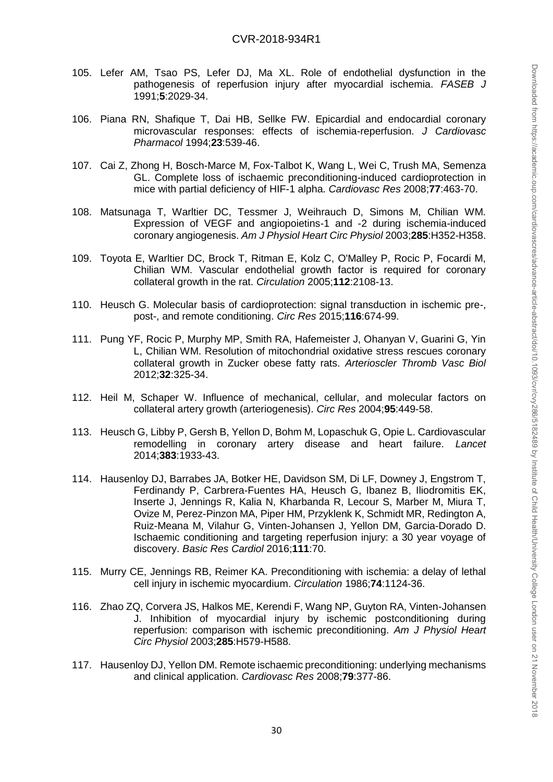- 105. Lefer AM, Tsao PS, Lefer DJ, Ma XL. Role of endothelial dysfunction in the pathogenesis of reperfusion injury after myocardial ischemia. *FASEB J* 1991;**5**:2029-34.
- 106. Piana RN, Shafique T, Dai HB, Sellke FW. Epicardial and endocardial coronary microvascular responses: effects of ischemia-reperfusion. *J Cardiovasc Pharmacol* 1994;**23**:539-46.
- 107. Cai Z, Zhong H, Bosch-Marce M, Fox-Talbot K, Wang L, Wei C, Trush MA, Semenza GL. Complete loss of ischaemic preconditioning-induced cardioprotection in mice with partial deficiency of HIF-1 alpha. *Cardiovasc Res* 2008;**77**:463-70.
- 108. Matsunaga T, Warltier DC, Tessmer J, Weihrauch D, Simons M, Chilian WM. Expression of VEGF and angiopoietins-1 and -2 during ischemia-induced coronary angiogenesis. *Am J Physiol Heart Circ Physiol* 2003;**285**:H352-H358.
- 109. Toyota E, Warltier DC, Brock T, Ritman E, Kolz C, O'Malley P, Rocic P, Focardi M, Chilian WM. Vascular endothelial growth factor is required for coronary collateral growth in the rat. *Circulation* 2005;**112**:2108-13.
- 110. Heusch G. Molecular basis of cardioprotection: signal transduction in ischemic pre-, post-, and remote conditioning. *Circ Res* 2015;**116**:674-99.
- 111. Pung YF, Rocic P, Murphy MP, Smith RA, Hafemeister J, Ohanyan V, Guarini G, Yin L, Chilian WM. Resolution of mitochondrial oxidative stress rescues coronary collateral growth in Zucker obese fatty rats. *Arterioscler Thromb Vasc Biol* 2012;**32**:325-34.
- 112. Heil M, Schaper W. Influence of mechanical, cellular, and molecular factors on collateral artery growth (arteriogenesis). *Circ Res* 2004;**95**:449-58.
- 113. Heusch G, Libby P, Gersh B, Yellon D, Bohm M, Lopaschuk G, Opie L. Cardiovascular remodelling in coronary artery disease and heart failure. *Lancet* 2014;**383**:1933-43.
- 114. Hausenloy DJ, Barrabes JA, Botker HE, Davidson SM, Di LF, Downey J, Engstrom T, Ferdinandy P, Carbrera-Fuentes HA, Heusch G, Ibanez B, Iliodromitis EK, Inserte J, Jennings R, Kalia N, Kharbanda R, Lecour S, Marber M, Miura T, Ovize M, Perez-Pinzon MA, Piper HM, Przyklenk K, Schmidt MR, Redington A, Ruiz-Meana M, Vilahur G, Vinten-Johansen J, Yellon DM, Garcia-Dorado D. Ischaemic conditioning and targeting reperfusion injury: a 30 year voyage of discovery. *Basic Res Cardiol* 2016;**111**:70.
- 115. Murry CE, Jennings RB, Reimer KA. Preconditioning with ischemia: a delay of lethal cell injury in ischemic myocardium. *Circulation* 1986;**74**:1124-36.
- 116. Zhao ZQ, Corvera JS, Halkos ME, Kerendi F, Wang NP, Guyton RA, Vinten-Johansen J. Inhibition of myocardial injury by ischemic postconditioning during reperfusion: comparison with ischemic preconditioning. *Am J Physiol Heart Circ Physiol* 2003;**285**:H579-H588.
- 117. Hausenloy DJ, Yellon DM. Remote ischaemic preconditioning: underlying mechanisms and clinical application. *Cardiovasc Res* 2008;**79**:377-86.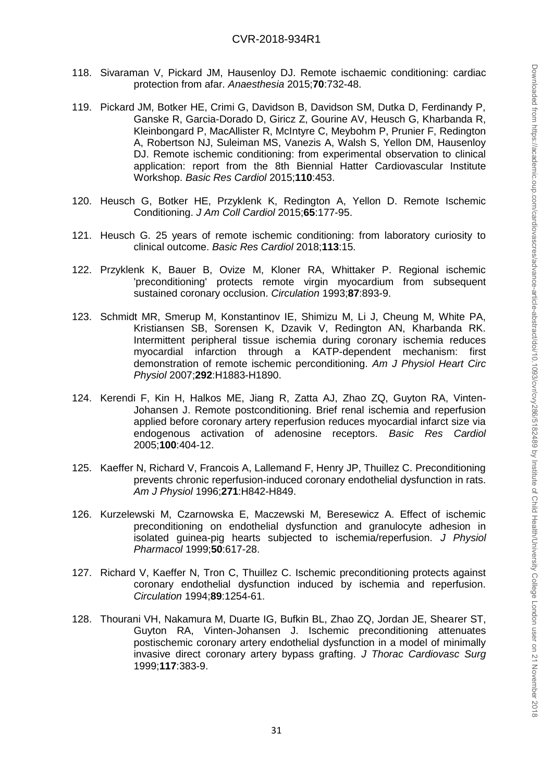- 118. Sivaraman V, Pickard JM, Hausenloy DJ. Remote ischaemic conditioning: cardiac protection from afar. *Anaesthesia* 2015;**70**:732-48.
- 119. Pickard JM, Botker HE, Crimi G, Davidson B, Davidson SM, Dutka D, Ferdinandy P, Ganske R, Garcia-Dorado D, Giricz Z, Gourine AV, Heusch G, Kharbanda R, Kleinbongard P, MacAllister R, McIntyre C, Meybohm P, Prunier F, Redington A, Robertson NJ, Suleiman MS, Vanezis A, Walsh S, Yellon DM, Hausenloy DJ. Remote ischemic conditioning: from experimental observation to clinical application: report from the 8th Biennial Hatter Cardiovascular Institute Workshop. *Basic Res Cardiol* 2015;**110**:453.
- 120. Heusch G, Botker HE, Przyklenk K, Redington A, Yellon D. Remote Ischemic Conditioning. *J Am Coll Cardiol* 2015;**65**:177-95.
- 121. Heusch G. 25 years of remote ischemic conditioning: from laboratory curiosity to clinical outcome. *Basic Res Cardiol* 2018;**113**:15.
- 122. Przyklenk K, Bauer B, Ovize M, Kloner RA, Whittaker P. Regional ischemic 'preconditioning' protects remote virgin myocardium from subsequent sustained coronary occlusion. *Circulation* 1993;**87**:893-9.
- 123. Schmidt MR, Smerup M, Konstantinov IE, Shimizu M, Li J, Cheung M, White PA, Kristiansen SB, Sorensen K, Dzavik V, Redington AN, Kharbanda RK. Intermittent peripheral tissue ischemia during coronary ischemia reduces myocardial infarction through a KATP-dependent mechanism: first demonstration of remote ischemic perconditioning. *Am J Physiol Heart Circ Physiol* 2007;**292**:H1883-H1890.
- 124. Kerendi F, Kin H, Halkos ME, Jiang R, Zatta AJ, Zhao ZQ, Guyton RA, Vinten-Johansen J. Remote postconditioning. Brief renal ischemia and reperfusion applied before coronary artery reperfusion reduces myocardial infarct size via endogenous activation of adenosine receptors. *Basic Res Cardiol* 2005;**100**:404-12.
- 125. Kaeffer N, Richard V, Francois A, Lallemand F, Henry JP, Thuillez C. Preconditioning prevents chronic reperfusion-induced coronary endothelial dysfunction in rats. *Am J Physiol* 1996;**271**:H842-H849.
- 126. Kurzelewski M, Czarnowska E, Maczewski M, Beresewicz A. Effect of ischemic preconditioning on endothelial dysfunction and granulocyte adhesion in isolated guinea-pig hearts subjected to ischemia/reperfusion. *J Physiol Pharmacol* 1999;**50**:617-28.
- 127. Richard V, Kaeffer N, Tron C, Thuillez C. Ischemic preconditioning protects against coronary endothelial dysfunction induced by ischemia and reperfusion. *Circulation* 1994;**89**:1254-61.
- 128. Thourani VH, Nakamura M, Duarte IG, Bufkin BL, Zhao ZQ, Jordan JE, Shearer ST, Guyton RA, Vinten-Johansen J. Ischemic preconditioning attenuates postischemic coronary artery endothelial dysfunction in a model of minimally invasive direct coronary artery bypass grafting. *J Thorac Cardiovasc Surg* 1999;**117**:383-9.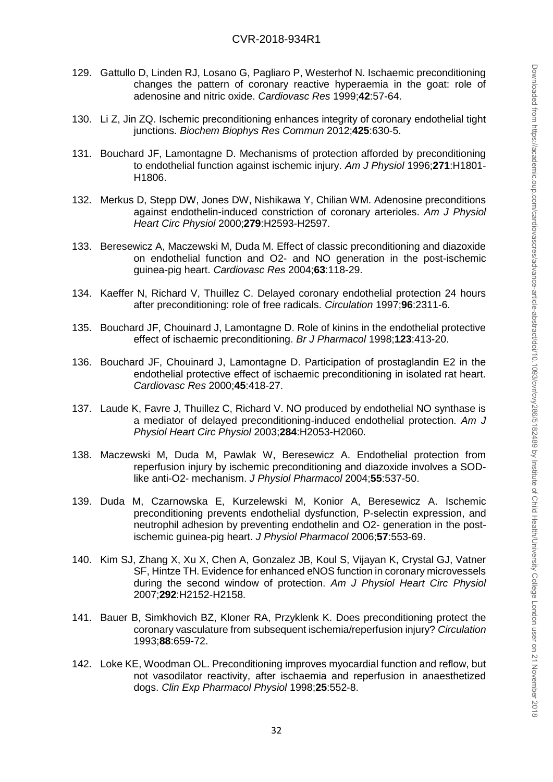- 129. Gattullo D, Linden RJ, Losano G, Pagliaro P, Westerhof N. Ischaemic preconditioning changes the pattern of coronary reactive hyperaemia in the goat: role of adenosine and nitric oxide. *Cardiovasc Res* 1999;**42**:57-64.
- 130. Li Z, Jin ZQ. Ischemic preconditioning enhances integrity of coronary endothelial tight junctions. *Biochem Biophys Res Commun* 2012;**425**:630-5.
- 131. Bouchard JF, Lamontagne D. Mechanisms of protection afforded by preconditioning to endothelial function against ischemic injury. *Am J Physiol* 1996;**271**:H1801- H1806.
- 132. Merkus D, Stepp DW, Jones DW, Nishikawa Y, Chilian WM. Adenosine preconditions against endothelin-induced constriction of coronary arterioles. *Am J Physiol Heart Circ Physiol* 2000;**279**:H2593-H2597.
- 133. Beresewicz A, Maczewski M, Duda M. Effect of classic preconditioning and diazoxide on endothelial function and O2- and NO generation in the post-ischemic guinea-pig heart. *Cardiovasc Res* 2004;**63**:118-29.
- 134. Kaeffer N, Richard V, Thuillez C. Delayed coronary endothelial protection 24 hours after preconditioning: role of free radicals. *Circulation* 1997;**96**:2311-6.
- 135. Bouchard JF, Chouinard J, Lamontagne D. Role of kinins in the endothelial protective effect of ischaemic preconditioning. *Br J Pharmacol* 1998;**123**:413-20.
- 136. Bouchard JF, Chouinard J, Lamontagne D. Participation of prostaglandin E2 in the endothelial protective effect of ischaemic preconditioning in isolated rat heart. *Cardiovasc Res* 2000;**45**:418-27.
- 137. Laude K, Favre J, Thuillez C, Richard V. NO produced by endothelial NO synthase is a mediator of delayed preconditioning-induced endothelial protection. *Am J Physiol Heart Circ Physiol* 2003;**284**:H2053-H2060.
- 138. Maczewski M, Duda M, Pawlak W, Beresewicz A. Endothelial protection from reperfusion injury by ischemic preconditioning and diazoxide involves a SODlike anti-O2- mechanism. *J Physiol Pharmacol* 2004;**55**:537-50.
- 139. Duda M, Czarnowska E, Kurzelewski M, Konior A, Beresewicz A. Ischemic preconditioning prevents endothelial dysfunction, P-selectin expression, and neutrophil adhesion by preventing endothelin and O2- generation in the postischemic guinea-pig heart. *J Physiol Pharmacol* 2006;**57**:553-69.
- 140. Kim SJ, Zhang X, Xu X, Chen A, Gonzalez JB, Koul S, Vijayan K, Crystal GJ, Vatner SF, Hintze TH. Evidence for enhanced eNOS function in coronary microvessels during the second window of protection. *Am J Physiol Heart Circ Physiol* 2007;**292**:H2152-H2158.
- 141. Bauer B, Simkhovich BZ, Kloner RA, Przyklenk K. Does preconditioning protect the coronary vasculature from subsequent ischemia/reperfusion injury? *Circulation* 1993;**88**:659-72.
- 142. Loke KE, Woodman OL. Preconditioning improves myocardial function and reflow, but not vasodilator reactivity, after ischaemia and reperfusion in anaesthetized dogs. *Clin Exp Pharmacol Physiol* 1998;**25**:552-8.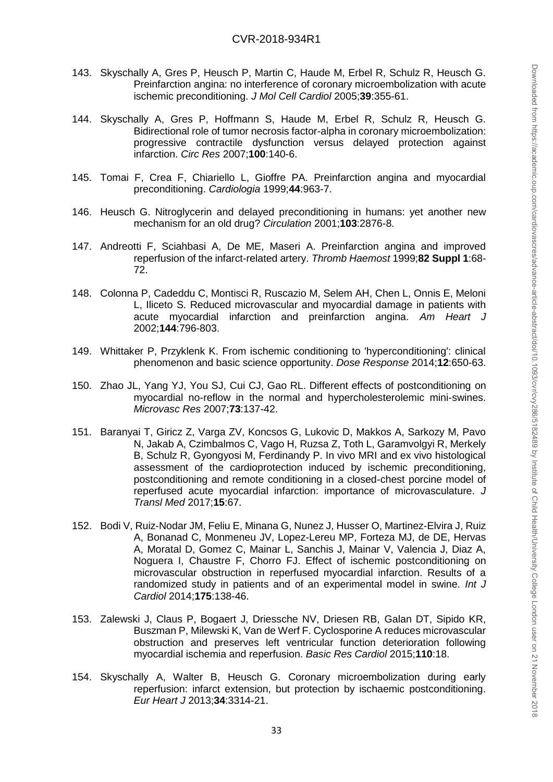- 143. Skyschally A, Gres P, Heusch P, Martin C, Haude M, Erbel R, Schulz R, Heusch G. Preinfarction angina: no interference of coronary microembolization with acute ischemic preconditioning. *J Mol Cell Cardiol* 2005;**39**:355-61.
- 144. Skyschally A, Gres P, Hoffmann S, Haude M, Erbel R, Schulz R, Heusch G. Bidirectional role of tumor necrosis factor-alpha in coronary microembolization: progressive contractile dysfunction versus delayed protection against infarction. *Circ Res* 2007;**100**:140-6.
- 145. Tomai F, Crea F, Chiariello L, Gioffre PA. Preinfarction angina and myocardial preconditioning. *Cardiologia* 1999;**44**:963-7.
- 146. Heusch G. Nitroglycerin and delayed preconditioning in humans: yet another new mechanism for an old drug? *Circulation* 2001;**103**:2876-8.
- 147. Andreotti F, Sciahbasi A, De ME, Maseri A. Preinfarction angina and improved reperfusion of the infarct-related artery. *Thromb Haemost* 1999;**82 Suppl 1**:68- 72.
- 148. Colonna P, Cadeddu C, Montisci R, Ruscazio M, Selem AH, Chen L, Onnis E, Meloni L, Iliceto S. Reduced microvascular and myocardial damage in patients with acute myocardial infarction and preinfarction angina. *Am Heart J* 2002;**144**:796-803.
- 149. Whittaker P, Przyklenk K. From ischemic conditioning to 'hyperconditioning': clinical phenomenon and basic science opportunity. *Dose Response* 2014;**12**:650-63.
- 150. Zhao JL, Yang YJ, You SJ, Cui CJ, Gao RL. Different effects of postconditioning on myocardial no-reflow in the normal and hypercholesterolemic mini-swines. *Microvasc Res* 2007;**73**:137-42.
- 151. Baranyai T, Giricz Z, Varga ZV, Koncsos G, Lukovic D, Makkos A, Sarkozy M, Pavo N, Jakab A, Czimbalmos C, Vago H, Ruzsa Z, Toth L, Garamvolgyi R, Merkely B, Schulz R, Gyongyosi M, Ferdinandy P. In vivo MRI and ex vivo histological assessment of the cardioprotection induced by ischemic preconditioning, postconditioning and remote conditioning in a closed-chest porcine model of reperfused acute myocardial infarction: importance of microvasculature. *J Transl Med* 2017;**15**:67.
- 152. Bodi V, Ruiz-Nodar JM, Feliu E, Minana G, Nunez J, Husser O, Martinez-Elvira J, Ruiz A, Bonanad C, Monmeneu JV, Lopez-Lereu MP, Forteza MJ, de DE, Hervas A, Moratal D, Gomez C, Mainar L, Sanchis J, Mainar V, Valencia J, Diaz A, Noguera I, Chaustre F, Chorro FJ. Effect of ischemic postconditioning on microvascular obstruction in reperfused myocardial infarction. Results of a randomized study in patients and of an experimental model in swine. *Int J Cardiol* 2014;**175**:138-46.
- 153. Zalewski J, Claus P, Bogaert J, Driessche NV, Driesen RB, Galan DT, Sipido KR, Buszman P, Milewski K, Van de Werf F. Cyclosporine A reduces microvascular obstruction and preserves left ventricular function deterioration following myocardial ischemia and reperfusion. *Basic Res Cardiol* 2015;**110**:18.
- 154. Skyschally A, Walter B, Heusch G. Coronary microembolization during early reperfusion: infarct extension, but protection by ischaemic postconditioning. *Eur Heart J* 2013;**34**:3314-21.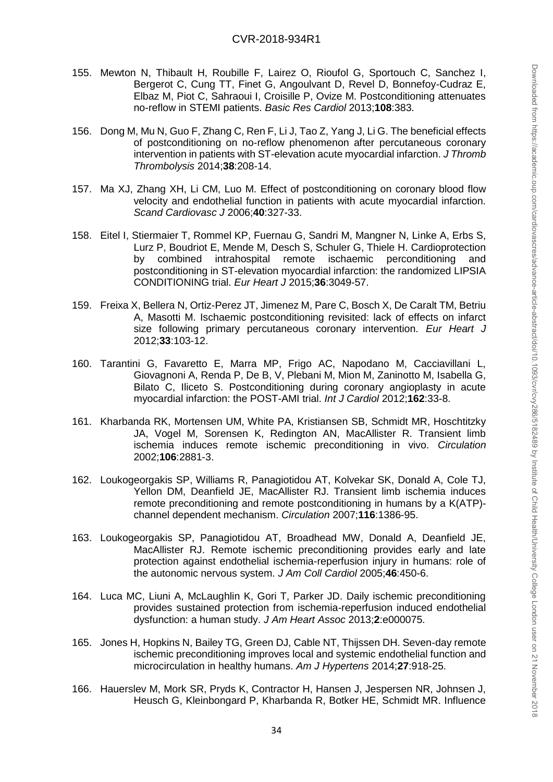- 155. Mewton N, Thibault H, Roubille F, Lairez O, Rioufol G, Sportouch C, Sanchez I, Bergerot C, Cung TT, Finet G, Angoulvant D, Revel D, Bonnefoy-Cudraz E, Elbaz M, Piot C, Sahraoui I, Croisille P, Ovize M. Postconditioning attenuates no-reflow in STEMI patients. *Basic Res Cardiol* 2013;**108**:383.
- 156. Dong M, Mu N, Guo F, Zhang C, Ren F, Li J, Tao Z, Yang J, Li G. The beneficial effects of postconditioning on no-reflow phenomenon after percutaneous coronary intervention in patients with ST-elevation acute myocardial infarction. *J Thromb Thrombolysis* 2014;**38**:208-14.
- 157. Ma XJ, Zhang XH, Li CM, Luo M. Effect of postconditioning on coronary blood flow velocity and endothelial function in patients with acute myocardial infarction. *Scand Cardiovasc J* 2006;**40**:327-33.
- 158. Eitel I, Stiermaier T, Rommel KP, Fuernau G, Sandri M, Mangner N, Linke A, Erbs S, Lurz P, Boudriot E, Mende M, Desch S, Schuler G, Thiele H. Cardioprotection by combined intrahospital remote ischaemic perconditioning and postconditioning in ST-elevation myocardial infarction: the randomized LIPSIA CONDITIONING trial. *Eur Heart J* 2015;**36**:3049-57.
- 159. Freixa X, Bellera N, Ortiz-Perez JT, Jimenez M, Pare C, Bosch X, De Caralt TM, Betriu A, Masotti M. Ischaemic postconditioning revisited: lack of effects on infarct size following primary percutaneous coronary intervention. *Eur Heart J* 2012;**33**:103-12.
- 160. Tarantini G, Favaretto E, Marra MP, Frigo AC, Napodano M, Cacciavillani L, Giovagnoni A, Renda P, De B, V, Plebani M, Mion M, Zaninotto M, Isabella G, Bilato C, Iliceto S. Postconditioning during coronary angioplasty in acute myocardial infarction: the POST-AMI trial. *Int J Cardiol* 2012;**162**:33-8.
- 161. Kharbanda RK, Mortensen UM, White PA, Kristiansen SB, Schmidt MR, Hoschtitzky JA, Vogel M, Sorensen K, Redington AN, MacAllister R. Transient limb ischemia induces remote ischemic preconditioning in vivo. *Circulation* 2002;**106**:2881-3.
- 162. Loukogeorgakis SP, Williams R, Panagiotidou AT, Kolvekar SK, Donald A, Cole TJ, Yellon DM, Deanfield JE, MacAllister RJ. Transient limb ischemia induces remote preconditioning and remote postconditioning in humans by a K(ATP) channel dependent mechanism. *Circulation* 2007;**116**:1386-95.
- 163. Loukogeorgakis SP, Panagiotidou AT, Broadhead MW, Donald A, Deanfield JE, MacAllister RJ. Remote ischemic preconditioning provides early and late protection against endothelial ischemia-reperfusion injury in humans: role of the autonomic nervous system. *J Am Coll Cardiol* 2005;**46**:450-6.
- 164. Luca MC, Liuni A, McLaughlin K, Gori T, Parker JD. Daily ischemic preconditioning provides sustained protection from ischemia-reperfusion induced endothelial dysfunction: a human study. *J Am Heart Assoc* 2013;**2**:e000075.
- 165. Jones H, Hopkins N, Bailey TG, Green DJ, Cable NT, Thijssen DH. Seven-day remote ischemic preconditioning improves local and systemic endothelial function and microcirculation in healthy humans. *Am J Hypertens* 2014;**27**:918-25.
- 166. Hauerslev M, Mork SR, Pryds K, Contractor H, Hansen J, Jespersen NR, Johnsen J, Heusch G, Kleinbongard P, Kharbanda R, Botker HE, Schmidt MR. Influence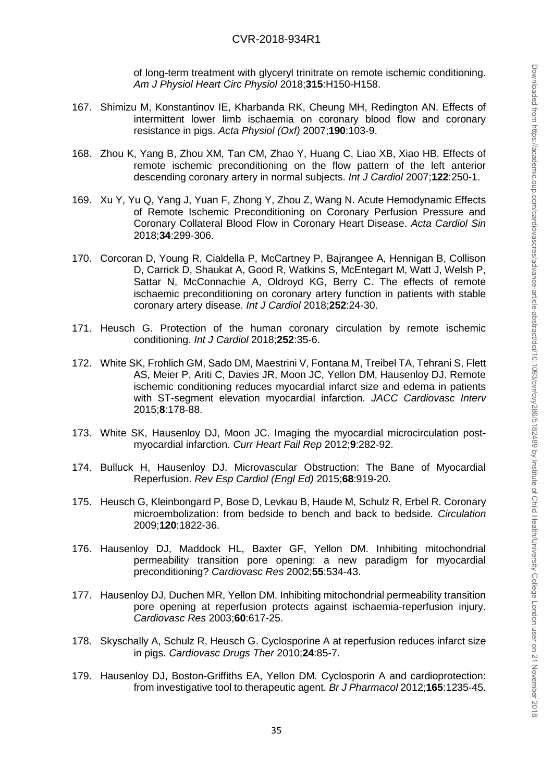of long-term treatment with glyceryl trinitrate on remote ischemic conditioning. *Am J Physiol Heart Circ Physiol* 2018;**315**:H150-H158.

- 167. Shimizu M, Konstantinov IE, Kharbanda RK, Cheung MH, Redington AN. Effects of intermittent lower limb ischaemia on coronary blood flow and coronary resistance in pigs. *Acta Physiol (Oxf)* 2007;**190**:103-9.
- 168. Zhou K, Yang B, Zhou XM, Tan CM, Zhao Y, Huang C, Liao XB, Xiao HB. Effects of remote ischemic preconditioning on the flow pattern of the left anterior descending coronary artery in normal subjects. *Int J Cardiol* 2007;**122**:250-1.
- 169. Xu Y, Yu Q, Yang J, Yuan F, Zhong Y, Zhou Z, Wang N. Acute Hemodynamic Effects of Remote Ischemic Preconditioning on Coronary Perfusion Pressure and Coronary Collateral Blood Flow in Coronary Heart Disease. *Acta Cardiol Sin* 2018;**34**:299-306.
- 170. Corcoran D, Young R, Cialdella P, McCartney P, Bajrangee A, Hennigan B, Collison D, Carrick D, Shaukat A, Good R, Watkins S, McEntegart M, Watt J, Welsh P, Sattar N, McConnachie A, Oldroyd KG, Berry C. The effects of remote ischaemic preconditioning on coronary artery function in patients with stable coronary artery disease. *Int J Cardiol* 2018;**252**:24-30.
- 171. Heusch G. Protection of the human coronary circulation by remote ischemic conditioning. *Int J Cardiol* 2018;**252**:35-6.
- 172. White SK, Frohlich GM, Sado DM, Maestrini V, Fontana M, Treibel TA, Tehrani S, Flett AS, Meier P, Ariti C, Davies JR, Moon JC, Yellon DM, Hausenloy DJ. Remote ischemic conditioning reduces myocardial infarct size and edema in patients with ST-segment elevation myocardial infarction. *JACC Cardiovasc Interv* 2015;**8**:178-88.
- 173. White SK, Hausenloy DJ, Moon JC. Imaging the myocardial microcirculation postmyocardial infarction. *Curr Heart Fail Rep* 2012;**9**:282-92.
- 174. Bulluck H, Hausenloy DJ. Microvascular Obstruction: The Bane of Myocardial Reperfusion. *Rev Esp Cardiol (Engl Ed)* 2015;**68**:919-20.
- 175. Heusch G, Kleinbongard P, Bose D, Levkau B, Haude M, Schulz R, Erbel R. Coronary microembolization: from bedside to bench and back to bedside. *Circulation* 2009;**120**:1822-36.
- 176. Hausenloy DJ, Maddock HL, Baxter GF, Yellon DM. Inhibiting mitochondrial permeability transition pore opening: a new paradigm for myocardial preconditioning? *Cardiovasc Res* 2002;**55**:534-43.
- 177. Hausenloy DJ, Duchen MR, Yellon DM. Inhibiting mitochondrial permeability transition pore opening at reperfusion protects against ischaemia-reperfusion injury. *Cardiovasc Res* 2003;**60**:617-25.
- 178. Skyschally A, Schulz R, Heusch G. Cyclosporine A at reperfusion reduces infarct size in pigs. *Cardiovasc Drugs Ther* 2010;**24**:85-7.
- 179. Hausenloy DJ, Boston-Griffiths EA, Yellon DM. Cyclosporin A and cardioprotection: from investigative tool to therapeutic agent. *Br J Pharmacol* 2012;**165**:1235-45.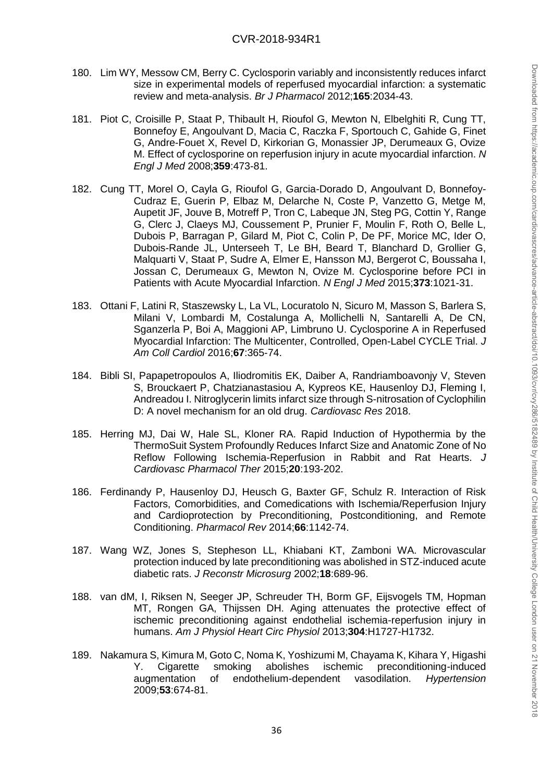- 180. Lim WY, Messow CM, Berry C. Cyclosporin variably and inconsistently reduces infarct size in experimental models of reperfused myocardial infarction: a systematic review and meta-analysis. *Br J Pharmacol* 2012;**165**:2034-43.
- 181. Piot C, Croisille P, Staat P, Thibault H, Rioufol G, Mewton N, Elbelghiti R, Cung TT, Bonnefoy E, Angoulvant D, Macia C, Raczka F, Sportouch C, Gahide G, Finet G, Andre-Fouet X, Revel D, Kirkorian G, Monassier JP, Derumeaux G, Ovize M. Effect of cyclosporine on reperfusion injury in acute myocardial infarction. *N Engl J Med* 2008;**359**:473-81.
- 182. Cung TT, Morel O, Cayla G, Rioufol G, Garcia-Dorado D, Angoulvant D, Bonnefoy-Cudraz E, Guerin P, Elbaz M, Delarche N, Coste P, Vanzetto G, Metge M, Aupetit JF, Jouve B, Motreff P, Tron C, Labeque JN, Steg PG, Cottin Y, Range G, Clerc J, Claeys MJ, Coussement P, Prunier F, Moulin F, Roth O, Belle L, Dubois P, Barragan P, Gilard M, Piot C, Colin P, De PF, Morice MC, Ider O, Dubois-Rande JL, Unterseeh T, Le BH, Beard T, Blanchard D, Grollier G, Malquarti V, Staat P, Sudre A, Elmer E, Hansson MJ, Bergerot C, Boussaha I, Jossan C, Derumeaux G, Mewton N, Ovize M. Cyclosporine before PCI in Patients with Acute Myocardial Infarction. *N Engl J Med* 2015;**373**:1021-31.
- 183. Ottani F, Latini R, Staszewsky L, La VL, Locuratolo N, Sicuro M, Masson S, Barlera S, Milani V, Lombardi M, Costalunga A, Mollichelli N, Santarelli A, De CN, Sganzerla P, Boi A, Maggioni AP, Limbruno U. Cyclosporine A in Reperfused Myocardial Infarction: The Multicenter, Controlled, Open-Label CYCLE Trial. *J Am Coll Cardiol* 2016;**67**:365-74.
- 184. Bibli SI, Papapetropoulos A, Iliodromitis EK, Daiber A, Randriamboavonjy V, Steven S, Brouckaert P, Chatzianastasiou A, Kypreos KE, Hausenloy DJ, Fleming I, Andreadou I. Nitroglycerin limits infarct size through S-nitrosation of Cyclophilin D: A novel mechanism for an old drug. *Cardiovasc Res* 2018.
- 185. Herring MJ, Dai W, Hale SL, Kloner RA. Rapid Induction of Hypothermia by the ThermoSuit System Profoundly Reduces Infarct Size and Anatomic Zone of No Reflow Following Ischemia-Reperfusion in Rabbit and Rat Hearts. *J Cardiovasc Pharmacol Ther* 2015;**20**:193-202.
- 186. Ferdinandy P, Hausenloy DJ, Heusch G, Baxter GF, Schulz R. Interaction of Risk Factors, Comorbidities, and Comedications with Ischemia/Reperfusion Injury and Cardioprotection by Preconditioning, Postconditioning, and Remote Conditioning. *Pharmacol Rev* 2014;**66**:1142-74.
- 187. Wang WZ, Jones S, Stepheson LL, Khiabani KT, Zamboni WA. Microvascular protection induced by late preconditioning was abolished in STZ-induced acute diabetic rats. *J Reconstr Microsurg* 2002;**18**:689-96.
- 188. van dM, I, Riksen N, Seeger JP, Schreuder TH, Borm GF, Eijsvogels TM, Hopman MT, Rongen GA, Thijssen DH. Aging attenuates the protective effect of ischemic preconditioning against endothelial ischemia-reperfusion injury in humans. *Am J Physiol Heart Circ Physiol* 2013;**304**:H1727-H1732.
- 189. Nakamura S, Kimura M, Goto C, Noma K, Yoshizumi M, Chayama K, Kihara Y, Higashi Y. Cigarette smoking abolishes ischemic preconditioning-induced augmentation of endothelium-dependent vasodilation. *Hypertension* 2009;**53**:674-81.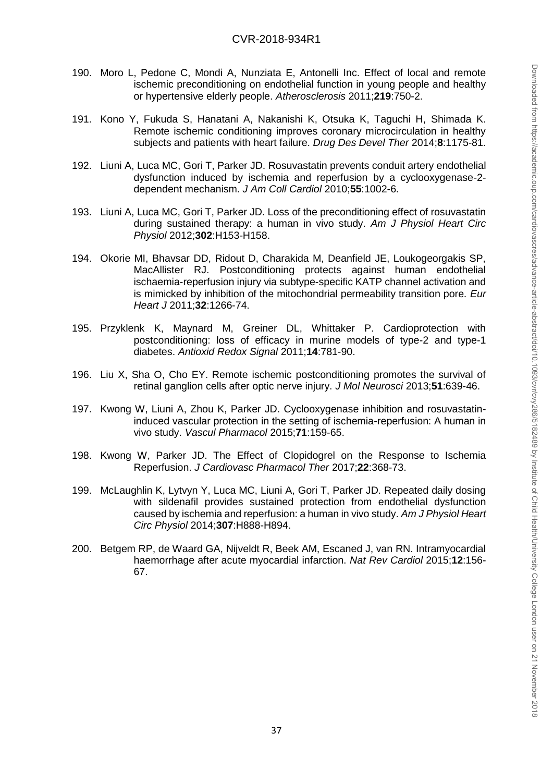- 190. Moro L, Pedone C, Mondi A, Nunziata E, Antonelli Inc. Effect of local and remote ischemic preconditioning on endothelial function in young people and healthy or hypertensive elderly people. *Atherosclerosis* 2011;**219**:750-2.
- 191. Kono Y, Fukuda S, Hanatani A, Nakanishi K, Otsuka K, Taguchi H, Shimada K. Remote ischemic conditioning improves coronary microcirculation in healthy subjects and patients with heart failure. *Drug Des Devel Ther* 2014;**8**:1175-81.
- 192. Liuni A, Luca MC, Gori T, Parker JD. Rosuvastatin prevents conduit artery endothelial dysfunction induced by ischemia and reperfusion by a cyclooxygenase-2 dependent mechanism. *J Am Coll Cardiol* 2010;**55**:1002-6.
- 193. Liuni A, Luca MC, Gori T, Parker JD. Loss of the preconditioning effect of rosuvastatin during sustained therapy: a human in vivo study. *Am J Physiol Heart Circ Physiol* 2012;**302**:H153-H158.
- 194. Okorie MI, Bhavsar DD, Ridout D, Charakida M, Deanfield JE, Loukogeorgakis SP, MacAllister RJ. Postconditioning protects against human endothelial ischaemia-reperfusion injury via subtype-specific KATP channel activation and is mimicked by inhibition of the mitochondrial permeability transition pore. *Eur Heart J* 2011;**32**:1266-74.
- 195. Przyklenk K, Maynard M, Greiner DL, Whittaker P. Cardioprotection with postconditioning: loss of efficacy in murine models of type-2 and type-1 diabetes. *Antioxid Redox Signal* 2011;**14**:781-90.
- 196. Liu X, Sha O, Cho EY. Remote ischemic postconditioning promotes the survival of retinal ganglion cells after optic nerve injury. *J Mol Neurosci* 2013;**51**:639-46.
- 197. Kwong W, Liuni A, Zhou K, Parker JD. Cyclooxygenase inhibition and rosuvastatininduced vascular protection in the setting of ischemia-reperfusion: A human in vivo study. *Vascul Pharmacol* 2015;**71**:159-65.
- 198. Kwong W, Parker JD. The Effect of Clopidogrel on the Response to Ischemia Reperfusion. *J Cardiovasc Pharmacol Ther* 2017;**22**:368-73.
- 199. McLaughlin K, Lytvyn Y, Luca MC, Liuni A, Gori T, Parker JD. Repeated daily dosing with sildenafil provides sustained protection from endothelial dysfunction caused by ischemia and reperfusion: a human in vivo study. *Am J Physiol Heart Circ Physiol* 2014;**307**:H888-H894.
- 200. Betgem RP, de Waard GA, Nijveldt R, Beek AM, Escaned J, van RN. Intramyocardial haemorrhage after acute myocardial infarction. *Nat Rev Cardiol* 2015;**12**:156- 67.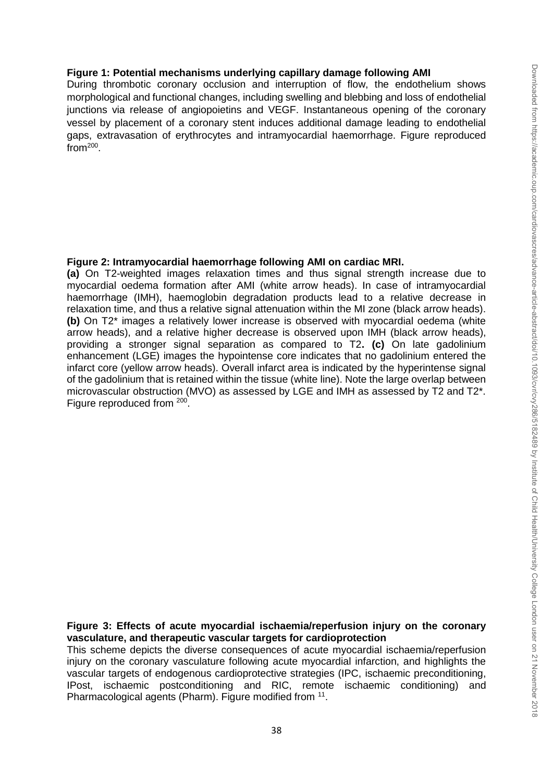# **Figure 1: Potential mechanisms underlying capillary damage following AMI**

During thrombotic coronary occlusion and interruption of flow, the endothelium shows morphological and functional changes, including swelling and blebbing and loss of endothelial junctions via release of angiopoietins and VEGF. Instantaneous opening of the coronary vessel by placement of a coronary stent induces additional damage leading to endothelial gaps, extravasation of erythrocytes and intramyocardial haemorrhage. Figure reproduced from<sup>200</sup>.

# **Figure 2: Intramyocardial haemorrhage following AMI on cardiac MRI.**

**(a)** On T2-weighted images relaxation times and thus signal strength increase due to myocardial oedema formation after AMI (white arrow heads). In case of intramyocardial haemorrhage (IMH), haemoglobin degradation products lead to a relative decrease in relaxation time, and thus a relative signal attenuation within the MI zone (black arrow heads). **(b)** On T2\* images a relatively lower increase is observed with myocardial oedema (white arrow heads), and a relative higher decrease is observed upon IMH (black arrow heads), providing a stronger signal separation as compared to T2**. (c)** On late gadolinium enhancement (LGE) images the hypointense core indicates that no gadolinium entered the infarct core (yellow arrow heads). Overall infarct area is indicated by the hyperintense signal of the gadolinium that is retained within the tissue (white line). Note the large overlap between microvascular obstruction (MVO) as assessed by LGE and IMH as assessed by T2 and T2\*. Figure reproduced from <sup>200</sup>.

**Figure 3: Effects of acute myocardial ischaemia/reperfusion injury on the coronary vasculature, and therapeutic vascular targets for cardioprotection**

This scheme depicts the diverse consequences of acute myocardial ischaemia/reperfusion injury on the coronary vasculature following acute myocardial infarction, and highlights the vascular targets of endogenous cardioprotective strategies (IPC, ischaemic preconditioning, IPost, ischaemic postconditioning and RIC, remote ischaemic conditioning) and Pharmacological agents (Pharm). Figure modified from <sup>11</sup>.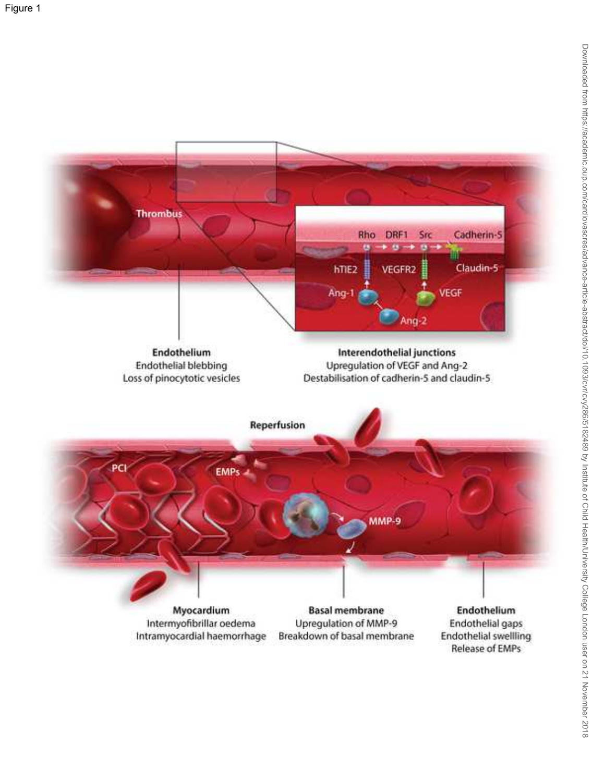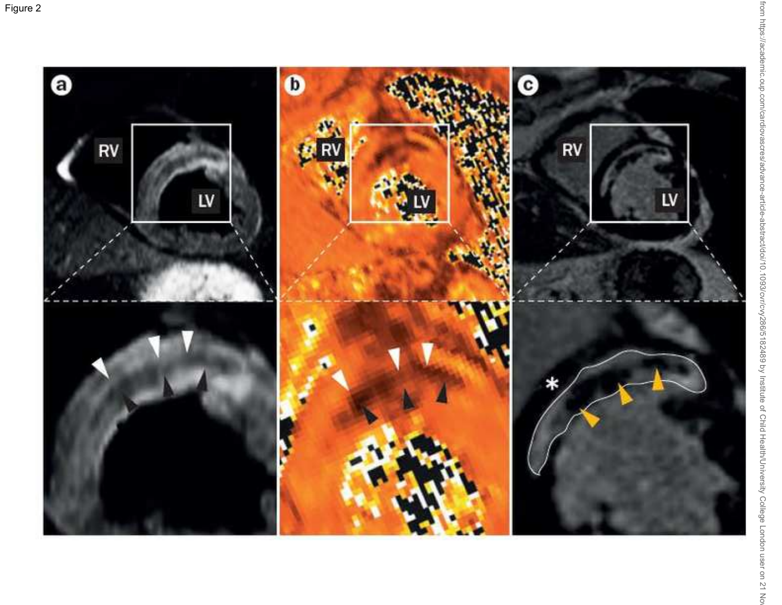